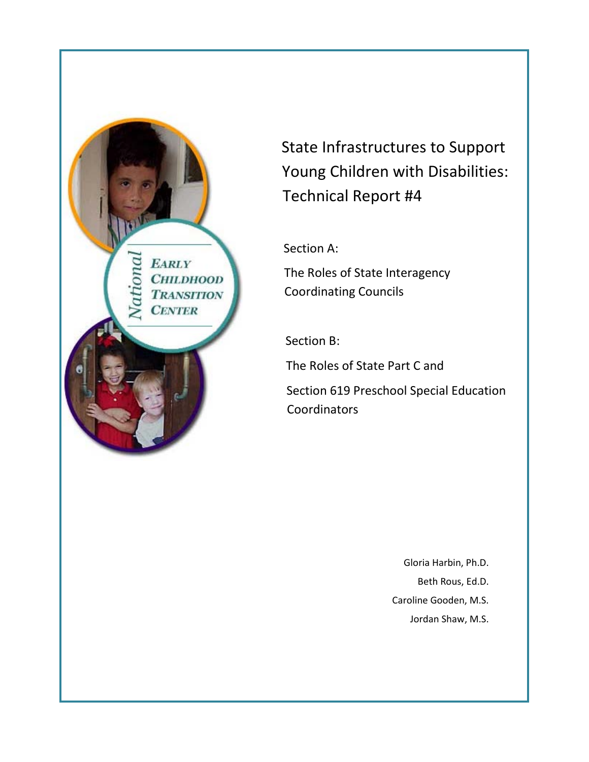**EARLY**  $O<sub>10</sub>$ СНП. ДНООД **TRANSITION CENTER** 

State Infrastructures to Support Young Children with Disabilities: Technical Report #4

Section A:

The Roles of State Interagency Coordinating Councils

Section B:

The Roles of State Part C and

Section 619 Preschool Special Education Coordinators

> Gloria Harbin, Ph.D. Beth Rous, Ed.D. Caroline Gooden, M.S. Jordan Shaw, M.S.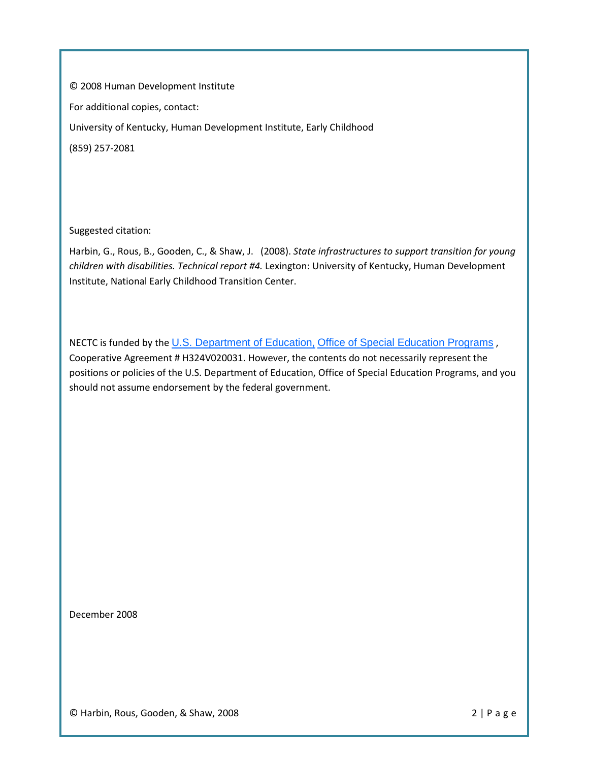© 2008 Human Development Institute For additional copies, contact: University of Kentucky, Human Development Institute, Early Childhood (859) 257-2081

Suggested citation:

Harbin, G., Rous, B., Gooden, C., & Shaw, J. (2008). *State infrastructures to support transition for young children with disabilities. Technical report #4.* Lexington: University of Kentucky, Human Development Institute, National Early Childhood Transition Center.

NECTC is funded by the [U.S. Department of Education,](http://www.ed.gov/) [Office of Special Education Programs](http://www.ed.gov/offices/OSERS/OSEP/index.html) , Cooperative Agreement # H324V020031. However, the contents do not necessarily represent the positions or policies of the U.S. Department of Education, Office of Special Education Programs, and you should not assume endorsement by the federal government.

December 2008

© Harbin, Rous, Gooden, & Shaw, 2008 2 | Page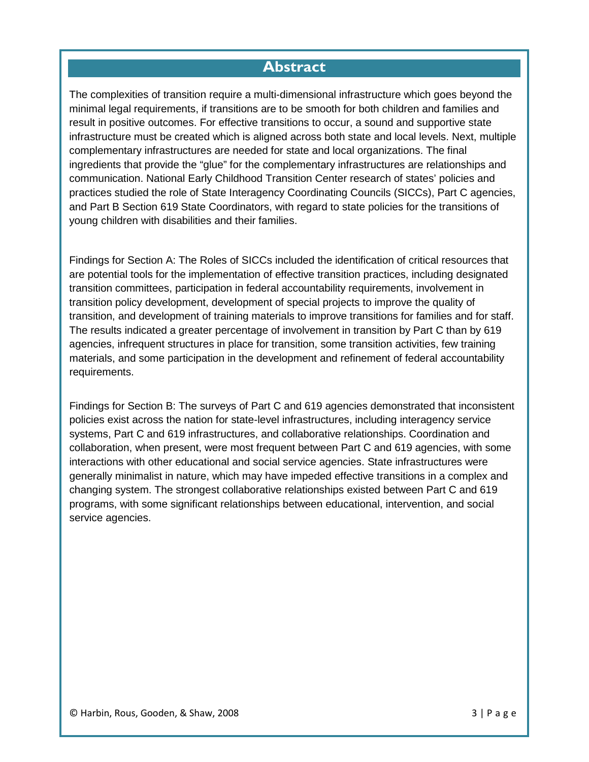# **Abstract**

<span id="page-2-0"></span>The complexities of transition require a multi-dimensional infrastructure which goes beyond the minimal legal requirements, if transitions are to be smooth for both children and families and result in positive outcomes. For effective transitions to occur, a sound and supportive state infrastructure must be created which is aligned across both state and local levels. Next, multiple complementary infrastructures are needed for state and local organizations. The final ingredients that provide the "glue" for the complementary infrastructures are relationships and communication. National Early Childhood Transition Center research of states' policies and practices studied the role of State Interagency Coordinating Councils (SICCs), Part C agencies, and Part B Section 619 State Coordinators, with regard to state policies for the transitions of young children with disabilities and their families.

Findings for Section A: The Roles of SICCs included the identification of critical resources that are potential tools for the implementation of effective transition practices, including designated transition committees, participation in federal accountability requirements, involvement in transition policy development, development of special projects to improve the quality of transition, and development of training materials to improve transitions for families and for staff. The results indicated a greater percentage of involvement in transition by Part C than by 619 agencies, infrequent structures in place for transition, some transition activities, few training materials, and some participation in the development and refinement of federal accountability requirements.

Findings for Section B: The surveys of Part C and 619 agencies demonstrated that inconsistent policies exist across the nation for state-level infrastructures, including interagency service systems, Part C and 619 infrastructures, and collaborative relationships. Coordination and collaboration, when present, were most frequent between Part C and 619 agencies, with some interactions with other educational and social service agencies. State infrastructures were generally minimalist in nature, which may have impeded effective transitions in a complex and changing system. The strongest collaborative relationships existed between Part C and 619 programs, with some significant relationships between educational, intervention, and social service agencies.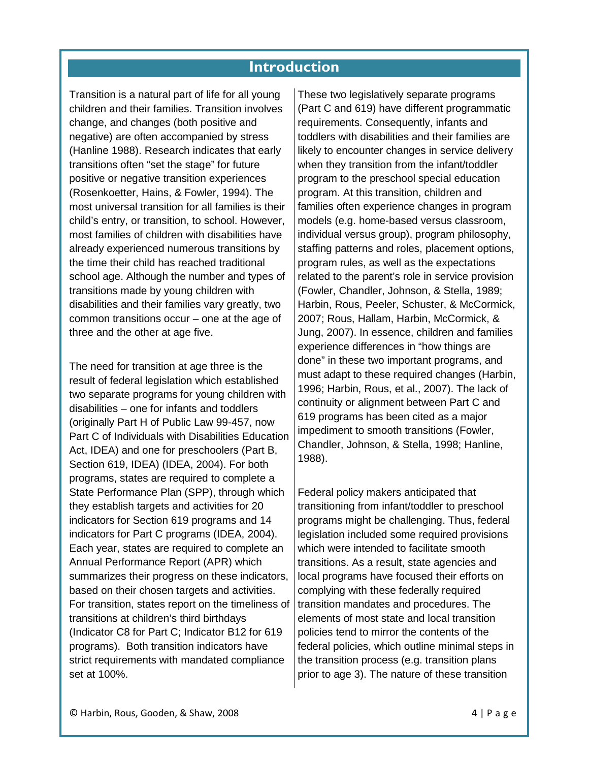# **Introduction**

Transition is a natural part of life for all young children and their families. Transition involves change, and changes (both positive and negative) are often accompanied by stress (Hanline 1988). Research indicates that early transitions often "set the stage" for future positive or negative transition experiences (Rosenkoetter, Hains, & Fowler, 1994). The most universal transition for all families is their child's entry, or transition, to school. However, most families of children with disabilities have already experienced numerous transitions by the time their child has reached traditional school age. Although the number and types of transitions made by young children with disabilities and their families vary greatly, two common transitions occur – one at the age of three and the other at age five.

The need for transition at age three is the result of federal legislation which established two separate programs for young children with disabilities – one for infants and toddlers (originally Part H of Public Law 99-457, now Part C of Individuals with Disabilities Education Act, IDEA) and one for preschoolers (Part B, Section 619, IDEA) (IDEA, 2004). For both programs, states are required to complete a State Performance Plan (SPP), through which they establish targets and activities for 20 indicators for Section 619 programs and 14 indicators for Part C programs (IDEA, 2004). Each year, states are required to complete an Annual Performance Report (APR) which summarizes their progress on these indicators, based on their chosen targets and activities. For transition, states report on the timeliness of transitions at children's third birthdays (Indicator C8 for Part C; Indicator B12 for 619 programs). Both transition indicators have strict requirements with mandated compliance set at 100%.

These two legislatively separate programs (Part C and 619) have different programmatic requirements. Consequently, infants and toddlers with disabilities and their families are likely to encounter changes in service delivery when they transition from the infant/toddler program to the preschool special education program. At this transition, children and families often experience changes in program models (e.g. home-based versus classroom, individual versus group), program philosophy, staffing patterns and roles, placement options, program rules, as well as the expectations related to the parent's role in service provision (Fowler, Chandler, Johnson, & Stella, 1989; Harbin, Rous, Peeler, Schuster, & McCormick, 2007; Rous, Hallam, Harbin, McCormick, & Jung, 2007). In essence, children and families experience differences in "how things are done" in these two important programs, and must adapt to these required changes (Harbin, 1996; Harbin, Rous, et al., 2007). The lack of continuity or alignment between Part C and 619 programs has been cited as a major impediment to smooth transitions (Fowler, Chandler, Johnson, & Stella, 1998; Hanline, 1988).

Federal policy makers anticipated that transitioning from infant/toddler to preschool programs might be challenging. Thus, federal legislation included some required provisions which were intended to facilitate smooth transitions. As a result, state agencies and local programs have focused their efforts on complying with these federally required transition mandates and procedures. The elements of most state and local transition policies tend to mirror the contents of the federal policies, which outline minimal steps in the transition process (e.g. transition plans prior to age 3). The nature of these transition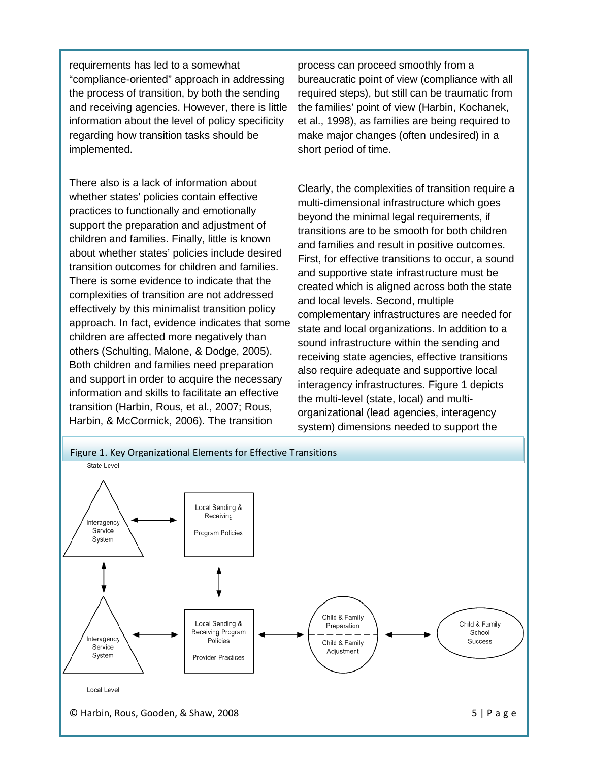requirements has led to a somewhat "compliance-oriented" approach in addressing the process of transition, by both the sending and receiving agencies. However, there is little information about the level of policy specificity regarding how transition tasks should be implemented.

There also is a lack of information about whether states' policies contain effective practices to functionally and emotionally support the preparation and adjustment of children and families. Finally, little is known about whether states' policies include desired transition outcomes for children and families. There is some evidence to indicate that the complexities of transition are not addressed effectively by this minimalist transition policy approach. In fact, evidence indicates that some children are affected more negatively than others (Schulting, Malone, & Dodge, 2005). Both children and families need preparation and support in order to acquire the necessary information and skills to facilitate an effective transition (Harbin, Rous, et al., 2007; Rous, Harbin, & McCormick, 2006). The transition

process can proceed smoothly from a bureaucratic point of view (compliance with all required steps), but still can be traumatic from the families' point of view (Harbin, Kochanek, et al., 1998), as families are being required to make major changes (often undesired) in a short period of time.

Clearly, the complexities of transition require a multi-dimensional infrastructure which goes beyond the minimal legal requirements, if transitions are to be smooth for both children and families and result in positive outcomes. First, for effective transitions to occur, a sound and supportive state infrastructure must be created which is aligned across both the state and local levels. Second, multiple complementary infrastructures are needed for state and local organizations. In addition to a sound infrastructure within the sending and receiving state agencies, effective transitions also require adequate and supportive local interagency infrastructures. Figure 1 depicts the multi-level (state, local) and multiorganizational (lead agencies, interagency system) dimensions needed to support the

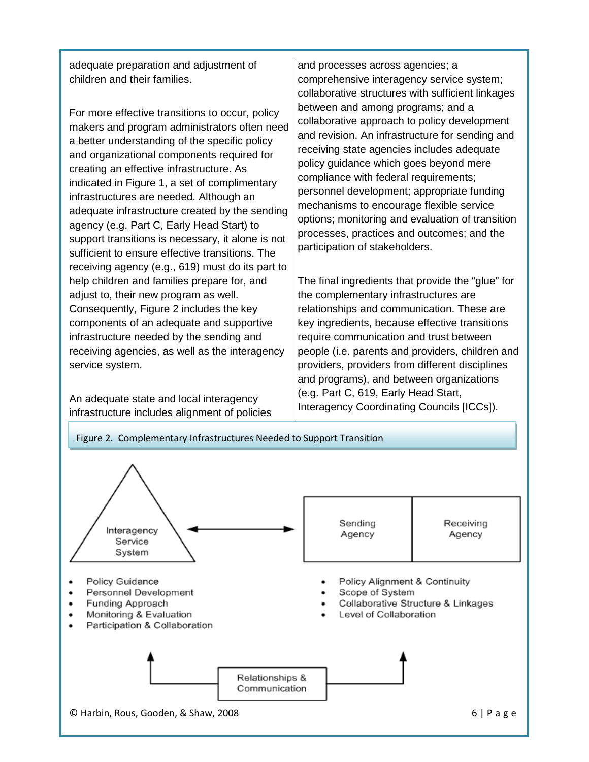adequate preparation and adjustment of children and their families.

For more effective transitions to occur, policy makers and program administrators often need a better understanding of the specific policy and organizational components required for creating an effective infrastructure. As indicated in Figure 1, a set of complimentary infrastructures are needed. Although an adequate infrastructure created by the sending agency (e.g. Part C, Early Head Start) to support transitions is necessary, it alone is not sufficient to ensure effective transitions. The receiving agency (e.g., 619) must do its part to help children and families prepare for, and adjust to, their new program as well. Consequently, Figure 2 includes the key components of an adequate and supportive infrastructure needed by the sending and receiving agencies, as well as the interagency service system.

An adequate state and local interagency infrastructure includes alignment of policies and processes across agencies; a comprehensive interagency service system; collaborative structures with sufficient linkages between and among programs; and a collaborative approach to policy development and revision. An infrastructure for sending and receiving state agencies includes adequate policy guidance which goes beyond mere compliance with federal requirements; personnel development; appropriate funding mechanisms to encourage flexible service options; monitoring and evaluation of transition processes, practices and outcomes; and the participation of stakeholders.

The final ingredients that provide the "glue" for the complementary infrastructures are relationships and communication. These are key ingredients, because effective transitions require communication and trust between people (i.e. parents and providers, children and providers, providers from different disciplines and programs), and between organizations (e.g. Part C, 619, Early Head Start, Interagency Coordinating Councils [ICCs]).

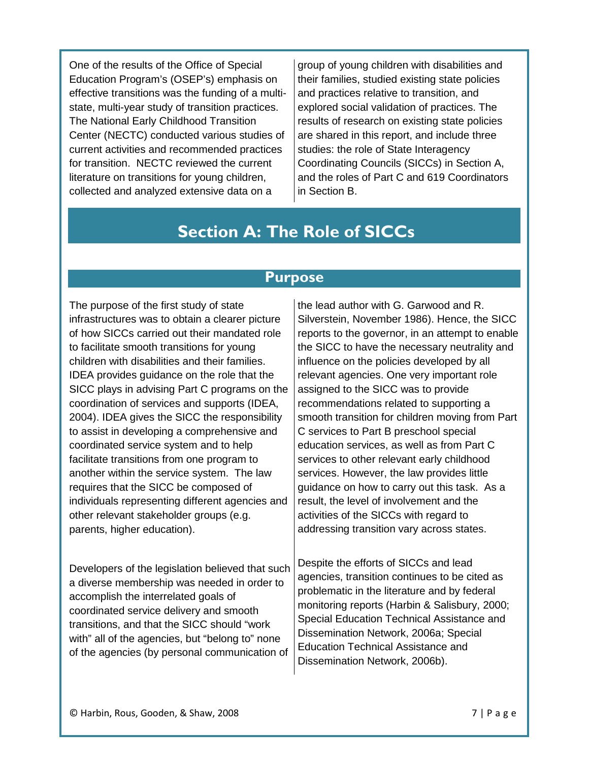One of the results of the Office of Special Education Program's (OSEP's) emphasis on effective transitions was the funding of a multistate, multi-year study of transition practices. The National Early Childhood Transition Center (NECTC) conducted various studies of current activities and recommended practices for transition. NECTC reviewed the current literature on transitions for young children, collected and analyzed extensive data on a

group of young children with disabilities and their families, studied existing state policies and practices relative to transition, and explored social validation of practices. The results of research on existing state policies are shared in this report, and include three studies: the role of State Interagency Coordinating Councils (SICCs) in Section A, and the roles of Part C and 619 Coordinators in Section B.

# **Section A: The Role of SICCs**

# **Purpose**

The purpose of the first study of state infrastructures was to obtain a clearer picture of how SICCs carried out their mandated role to facilitate smooth transitions for young children with disabilities and their families. IDEA provides guidance on the role that the SICC plays in advising Part C programs on the coordination of services and supports (IDEA, 2004). IDEA gives the SICC the responsibility to assist in developing a comprehensive and coordinated service system and to help facilitate transitions from one program to another within the service system. The law requires that the SICC be composed of individuals representing different agencies and other relevant stakeholder groups (e.g. parents, higher education).

Developers of the legislation believed that such a diverse membership was needed in order to accomplish the interrelated goals of coordinated service delivery and smooth transitions, and that the SICC should "work with" all of the agencies, but "belong to" none of the agencies (by personal communication of

the lead author with G. Garwood and R. Silverstein, November 1986). Hence, the SICC reports to the governor, in an attempt to enable the SICC to have the necessary neutrality and influence on the policies developed by all relevant agencies. One very important role assigned to the SICC was to provide recommendations related to supporting a smooth transition for children moving from Part C services to Part B preschool special education services, as well as from Part C services to other relevant early childhood services. However, the law provides little guidance on how to carry out this task. As a result, the level of involvement and the activities of the SICCs with regard to addressing transition vary across states.

Despite the efforts of SICCs and lead agencies, transition continues to be cited as problematic in the literature and by federal monitoring reports (Harbin & Salisbury, 2000; Special Education Technical Assistance and Dissemination Network, 2006a; Special Education Technical Assistance and Dissemination Network, 2006b).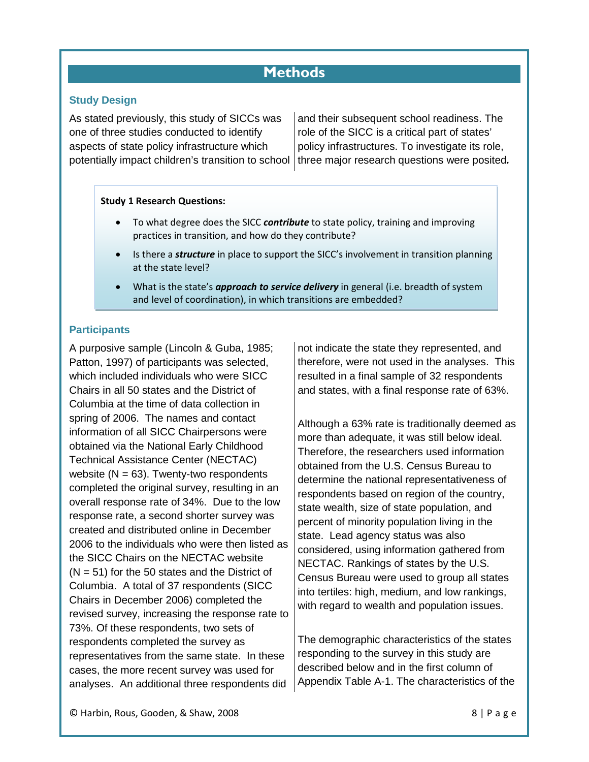# **Methods**

### **Study Design**

As stated previously, this study of SICCs was one of three studies conducted to identify aspects of state policy infrastructure which potentially impact children's transition to school

and their subsequent school readiness. The role of the SICC is a critical part of states' policy infrastructures. To investigate its role, three major research questions were posited*.*

#### **Study 1 Research Questions:**

- To what degree does the SICC *contribute* to state policy, training and improving practices in transition, and how do they contribute?
- Is there a *structure* in place to support the SICC's involvement in transition planning at the state level?
- What is the state's *approach to service delivery* in general (i.e. breadth of system and level of coordination), in which transitions are embedded?

### **Participants**

A purposive sample (Lincoln & Guba, 1985; Patton, 1997) of participants was selected, which included individuals who were SICC Chairs in all 50 states and the District of Columbia at the time of data collection in spring of 2006. The names and contact information of all SICC Chairpersons were obtained via the National Early Childhood Technical Assistance Center (NECTAC) website  $(N = 63)$ . Twenty-two respondents completed the original survey, resulting in an overall response rate of 34%. Due to the low response rate, a second shorter survey was created and distributed online in December 2006 to the individuals who were then listed as the SICC Chairs on the NECTAC website  $(N = 51)$  for the 50 states and the District of Columbia. A total of 37 respondents (SICC Chairs in December 2006) completed the revised survey, increasing the response rate to 73%. Of these respondents, two sets of respondents completed the survey as representatives from the same state. In these cases, the more recent survey was used for analyses. An additional three respondents did

not indicate the state they represented, and therefore, were not used in the analyses. This resulted in a final sample of 32 respondents and states, with a final response rate of 63%.

Although a 63% rate is traditionally deemed as more than adequate, it was still below ideal. Therefore, the researchers used information obtained from the U.S. Census Bureau to determine the national representativeness of respondents based on region of the country, state wealth, size of state population, and percent of minority population living in the state. Lead agency status was also considered, using information gathered from NECTAC. Rankings of states by the U.S. Census Bureau were used to group all states into tertiles: high, medium, and low rankings, with regard to wealth and population issues.

The demographic characteristics of the states responding to the survey in this study are described below and in the first column of Appendix Table A-1. The characteristics of the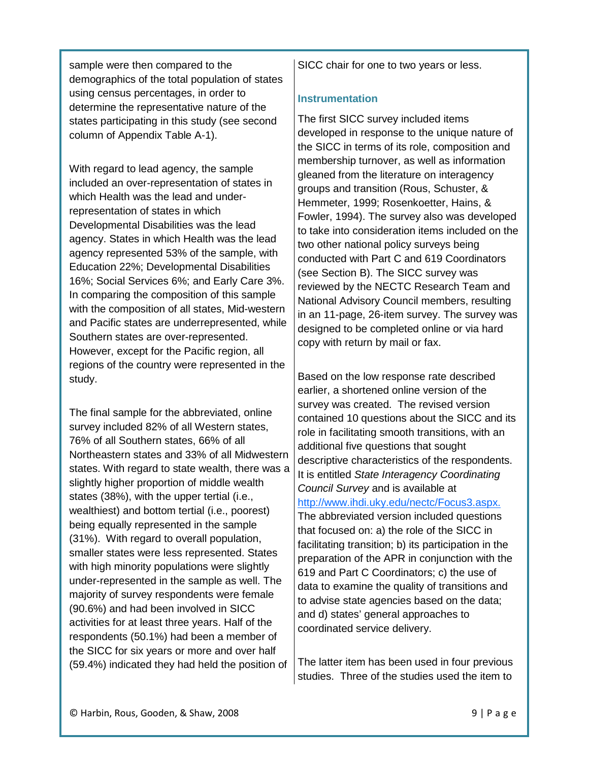sample were then compared to the demographics of the total population of states using census percentages, in order to determine the representative nature of the states participating in this study (see second column of Appendix Table A-1).

With regard to lead agency, the sample included an over-representation of states in which Health was the lead and underrepresentation of states in which Developmental Disabilities was the lead agency. States in which Health was the lead agency represented 53% of the sample, with Education 22%; Developmental Disabilities 16%; Social Services 6%; and Early Care 3%. In comparing the composition of this sample with the composition of all states, Mid-western and Pacific states are underrepresented, while Southern states are over-represented. However, except for the Pacific region, all regions of the country were represented in the study.

The final sample for the abbreviated, online survey included 82% of all Western states, 76% of all Southern states, 66% of all Northeastern states and 33% of all Midwestern states. With regard to state wealth, there was a slightly higher proportion of middle wealth states (38%), with the upper tertial (i.e., wealthiest) and bottom tertial (i.e., poorest) being equally represented in the sample (31%). With regard to overall population, smaller states were less represented. States with high minority populations were slightly under-represented in the sample as well. The majority of survey respondents were female (90.6%) and had been involved in SICC activities for at least three years. Half of the respondents (50.1%) had been a member of the SICC for six years or more and over half (59.4%) indicated they had held the position of

SICC chair for one to two years or less.

### **Instrumentation**

The first SICC survey included items developed in response to the unique nature of the SICC in terms of its role, composition and membership turnover, as well as information gleaned from the literature on interagency groups and transition (Rous, Schuster, & Hemmeter, 1999; Rosenkoetter, Hains, & Fowler, 1994). The survey also was developed to take into consideration items included on the two other national policy surveys being conducted with Part C and 619 Coordinators (see Section B). The SICC survey was reviewed by the NECTC Research Team and National Advisory Council members, resulting in an 11-page, 26-item survey. The survey was designed to be completed online or via hard copy with return by mail or fax.

Based on the low response rate described earlier, a shortened online version of the survey was created. The revised version contained 10 questions about the SICC and its role in facilitating smooth transitions, with an additional five questions that sought descriptive characteristics of the respondents. It is entitled *State Interagency Coordinating Council Survey* and is available at [http://www.ihdi.uky.edu/nectc/Focus3.aspx.](http://www.ihdi.uky.edu/nectc/Focus3.aspx) 

The abbreviated version included questions that focused on: a) the role of the SICC in facilitating transition; b) its participation in the preparation of the APR in conjunction with the 619 and Part C Coordinators; c) the use of data to examine the quality of transitions and to advise state agencies based on the data; and d) states' general approaches to coordinated service delivery.

The latter item has been used in four previous studies. Three of the studies used the item to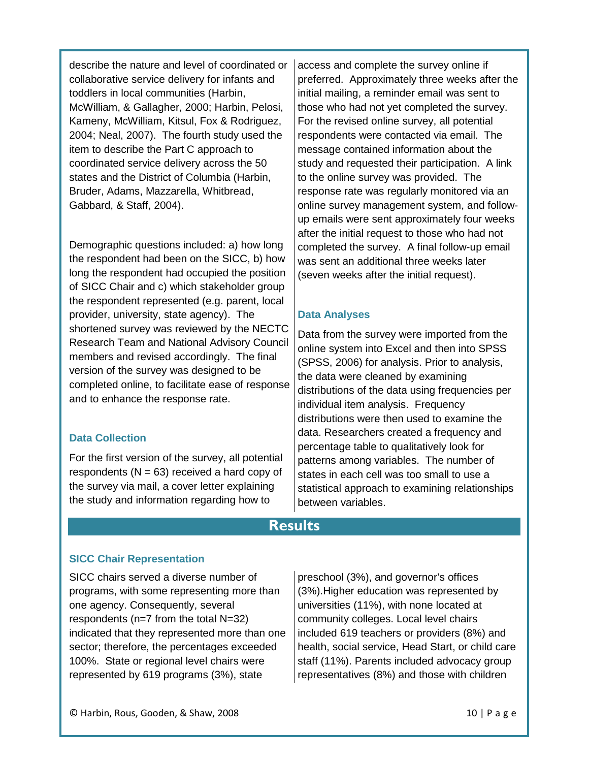describe the nature and level of coordinated or collaborative service delivery for infants and toddlers in local communities (Harbin, McWilliam, & Gallagher, 2000; Harbin, Pelosi, Kameny, McWilliam, Kitsul, Fox & Rodriguez, 2004; Neal, 2007). The fourth study used the item to describe the Part C approach to coordinated service delivery across the 50 states and the District of Columbia (Harbin, Bruder, Adams, Mazzarella, Whitbread, Gabbard, & Staff, 2004).

Demographic questions included: a) how long the respondent had been on the SICC, b) how long the respondent had occupied the position of SICC Chair and c) which stakeholder group the respondent represented (e.g. parent, local provider, university, state agency). The shortened survey was reviewed by the NECTC Research Team and National Advisory Council members and revised accordingly. The final version of the survey was designed to be completed online, to facilitate ease of response and to enhance the response rate.

### **Data Collection**

For the first version of the survey, all potential respondents  $(N = 63)$  received a hard copy of the survey via mail, a cover letter explaining the study and information regarding how to

access and complete the survey online if preferred. Approximately three weeks after the initial mailing, a reminder email was sent to those who had not yet completed the survey. For the revised online survey, all potential respondents were contacted via email. The message contained information about the study and requested their participation. A link to the online survey was provided. The response rate was regularly monitored via an online survey management system, and followup emails were sent approximately four weeks after the initial request to those who had not completed the survey. A final follow-up email was sent an additional three weeks later (seven weeks after the initial request).

### **Data Analyses**

Data from the survey were imported from the online system into Excel and then into SPSS (SPSS, 2006) for analysis. Prior to analysis, the data were cleaned by examining distributions of the data using frequencies per individual item analysis. Frequency distributions were then used to examine the data. Researchers created a frequency and percentage table to qualitatively look for patterns among variables. The number of states in each cell was too small to use a statistical approach to examining relationships between variables.

# **Results**

### **SICC Chair Representation**

SICC chairs served a diverse number of programs, with some representing more than one agency. Consequently, several respondents (n=7 from the total N=32) indicated that they represented more than one sector; therefore, the percentages exceeded 100%. State or regional level chairs were represented by 619 programs (3%), state

preschool (3%), and governor's offices (3%).Higher education was represented by universities (11%), with none located at community colleges. Local level chairs included 619 teachers or providers (8%) and health, social service, Head Start, or child care staff (11%). Parents included advocacy group representatives (8%) and those with children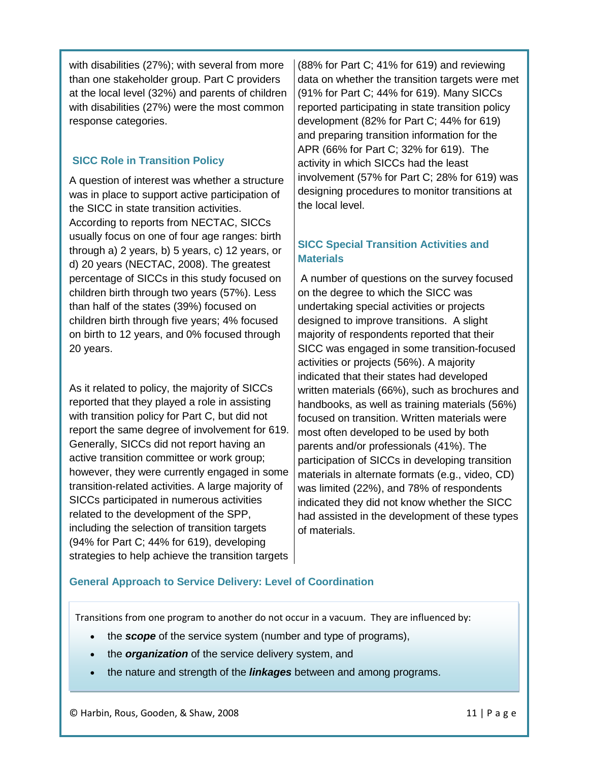with disabilities (27%); with several from more than one stakeholder group. Part C providers at the local level (32%) and parents of children with disabilities (27%) were the most common response categories.

# **SICC Role in Transition Policy**

A question of interest was whether a structure was in place to support active participation of the SICC in state transition activities. According to reports from NECTAC, SICCs usually focus on one of four age ranges: birth through a) 2 years, b) 5 years, c) 12 years, or d) 20 years (NECTAC, 2008). The greatest percentage of SICCs in this study focused on children birth through two years (57%). Less than half of the states (39%) focused on children birth through five years; 4% focused on birth to 12 years, and 0% focused through 20 years.

As it related to policy, the majority of SICCs reported that they played a role in assisting with transition policy for Part C, but did not report the same degree of involvement for 619. Generally, SICCs did not report having an active transition committee or work group; however, they were currently engaged in some transition-related activities. A large majority of SICCs participated in numerous activities related to the development of the SPP, including the selection of transition targets (94% for Part C; 44% for 619), developing strategies to help achieve the transition targets

(88% for Part C; 41% for 619) and reviewing data on whether the transition targets were met (91% for Part C; 44% for 619). Many SICCs reported participating in state transition policy development (82% for Part C; 44% for 619) and preparing transition information for the APR (66% for Part C; 32% for 619). The activity in which SICCs had the least involvement (57% for Part C; 28% for 619) was designing procedures to monitor transitions at the local level.

# **SICC Special Transition Activities and Materials**

A number of questions on the survey focused on the degree to which the SICC was undertaking special activities or projects designed to improve transitions. A slight majority of respondents reported that their SICC was engaged in some transition-focused activities or projects (56%). A majority indicated that their states had developed written materials (66%), such as brochures and handbooks, as well as training materials (56%) focused on transition. Written materials were most often developed to be used by both parents and/or professionals (41%). The participation of SICCs in developing transition materials in alternate formats (e.g., video, CD) was limited (22%), and 78% of respondents indicated they did not know whether the SICC had assisted in the development of these types of materials.

# **General Approach to Service Delivery: Level of Coordination**

Transitions from one program to another do not occur in a vacuum. They are influenced by:

- the *scope* of the service system (number and type of programs),
- the *organization* of the service delivery system, and
- the nature and strength of the *linkages* between and among programs.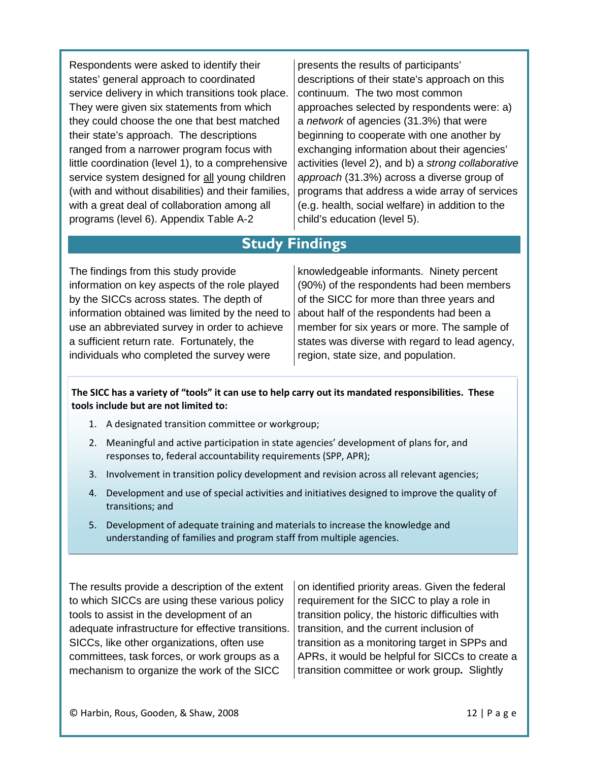Respondents were asked to identify their states' general approach to coordinated service delivery in which transitions took place. They were given six statements from which they could choose the one that best matched their state's approach. The descriptions ranged from a narrower program focus with little coordination (level 1), to a comprehensive service system designed for all young children (with and without disabilities) and their families, with a great deal of collaboration among all programs (level 6). Appendix Table A-2

presents the results of participants' descriptions of their state's approach on this continuum. The two most common approaches selected by respondents were: a) a *network* of agencies (31.3%) that were beginning to cooperate with one another by exchanging information about their agencies' activities (level 2), and b) a *strong collaborative approach* (31.3%) across a diverse group of programs that address a wide array of services (e.g. health, social welfare) in addition to the child's education (level 5).

# **Study Findings**

The findings from this study provide information on key aspects of the role played by the SICCs across states. The depth of information obtained was limited by the need to use an abbreviated survey in order to achieve a sufficient return rate. Fortunately, the individuals who completed the survey were

knowledgeable informants. Ninety percent (90%) of the respondents had been members of the SICC for more than three years and about half of the respondents had been a member for six years or more. The sample of states was diverse with regard to lead agency, region, state size, and population.

#### **The SICC has a variety of "tools" it can use to help carry out its mandated responsibilities. These tools include but are not limited to:**

- 1. A designated transition committee or workgroup;
- 2. Meaningful and active participation in state agencies' development of plans for, and responses to, federal accountability requirements (SPP, APR);
- 3. Involvement in transition policy development and revision across all relevant agencies;
- 4. Development and use of special activities and initiatives designed to improve the quality of transitions; and
- 5. Development of adequate training and materials to increase the knowledge and understanding of families and program staff from multiple agencies.

The results provide a description of the extent to which SICCs are using these various policy tools to assist in the development of an adequate infrastructure for effective transitions. SICCs, like other organizations, often use committees, task forces, or work groups as a mechanism to organize the work of the SICC

on identified priority areas. Given the federal requirement for the SICC to play a role in transition policy, the historic difficulties with transition, and the current inclusion of transition as a monitoring target in SPPs and APRs, it would be helpful for SICCs to create a transition committee or work group**.** Slightly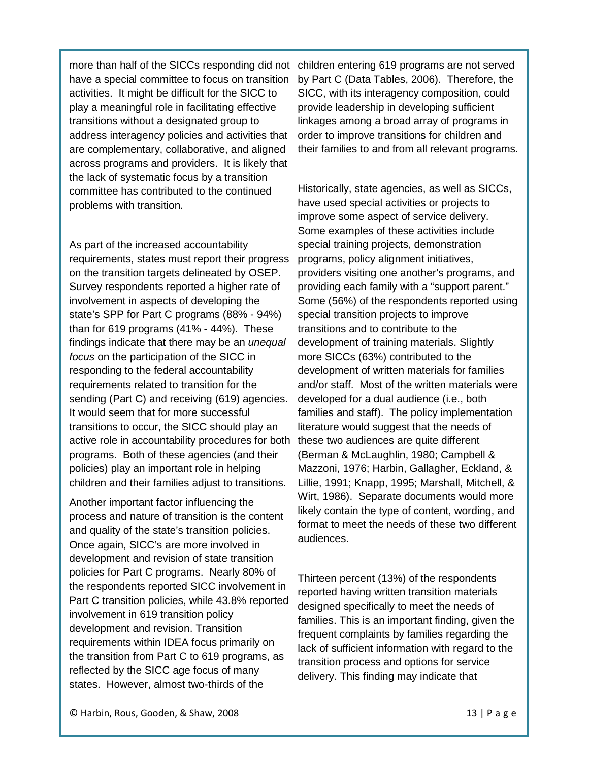more than half of the SICCs responding did not have a special committee to focus on transition activities. It might be difficult for the SICC to play a meaningful role in facilitating effective transitions without a designated group to address interagency policies and activities that are complementary, collaborative, and aligned across programs and providers. It is likely that the lack of systematic focus by a transition committee has contributed to the continued problems with transition.

As part of the increased accountability requirements, states must report their progress on the transition targets delineated by OSEP. Survey respondents reported a higher rate of involvement in aspects of developing the state's SPP for Part C programs (88% - 94%) than for 619 programs (41% - 44%). These findings indicate that there may be an *unequal focus* on the participation of the SICC in responding to the federal accountability requirements related to transition for the sending (Part C) and receiving (619) agencies. It would seem that for more successful transitions to occur, the SICC should play an active role in accountability procedures for both programs. Both of these agencies (and their policies) play an important role in helping children and their families adjust to transitions.

Another important factor influencing the process and nature of transition is the content and quality of the state's transition policies. Once again, SICC's are more involved in development and revision of state transition policies for Part C programs. Nearly 80% of the respondents reported SICC involvement in Part C transition policies, while 43.8% reported involvement in 619 transition policy development and revision. Transition requirements within IDEA focus primarily on the transition from Part C to 619 programs, as reflected by the SICC age focus of many states. However, almost two-thirds of the

children entering 619 programs are not served by Part C (Data Tables, 2006). Therefore, the SICC, with its interagency composition, could provide leadership in developing sufficient linkages among a broad array of programs in order to improve transitions for children and their families to and from all relevant programs.

Historically, state agencies, as well as SICCs, have used special activities or projects to improve some aspect of service delivery. Some examples of these activities include special training projects, demonstration programs, policy alignment initiatives, providers visiting one another's programs, and providing each family with a "support parent." Some (56%) of the respondents reported using special transition projects to improve transitions and to contribute to the development of training materials. Slightly more SICCs (63%) contributed to the development of written materials for families and/or staff. Most of the written materials were developed for a dual audience (i.e., both families and staff). The policy implementation literature would suggest that the needs of these two audiences are quite different (Berman & McLaughlin, 1980; Campbell & Mazzoni, 1976; Harbin, Gallagher, Eckland, & Lillie, 1991; Knapp, 1995; Marshall, Mitchell, & Wirt, 1986). Separate documents would more likely contain the type of content, wording, and format to meet the needs of these two different audiences.

Thirteen percent (13%) of the respondents reported having written transition materials designed specifically to meet the needs of families. This is an important finding, given the frequent complaints by families regarding the lack of sufficient information with regard to the transition process and options for service delivery. This finding may indicate that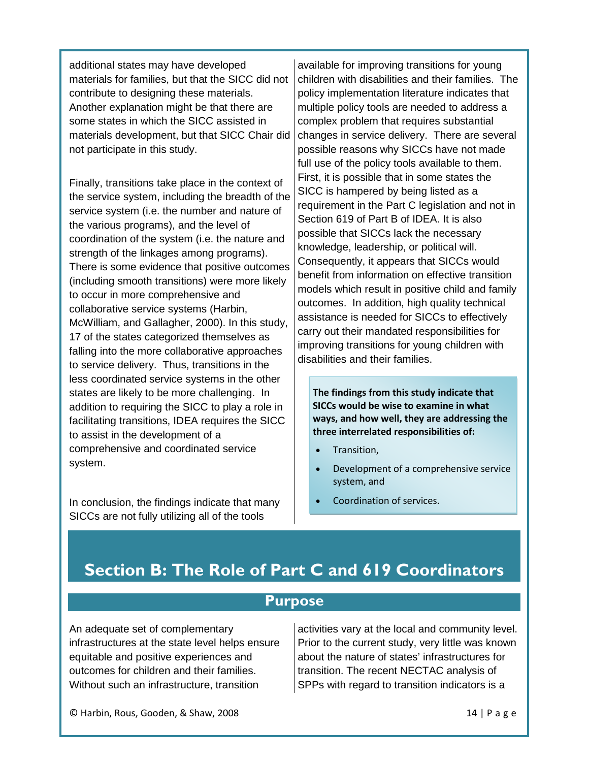additional states may have developed materials for families, but that the SICC did not contribute to designing these materials. Another explanation might be that there are some states in which the SICC assisted in materials development, but that SICC Chair did not participate in this study.

Finally, transitions take place in the context of the service system, including the breadth of the service system (i.e. the number and nature of the various programs), and the level of coordination of the system (i.e. the nature and strength of the linkages among programs). There is some evidence that positive outcomes (including smooth transitions) were more likely to occur in more comprehensive and collaborative service systems (Harbin, McWilliam, and Gallagher, 2000). In this study, 17 of the states categorized themselves as falling into the more collaborative approaches to service delivery. Thus, transitions in the less coordinated service systems in the other states are likely to be more challenging. In addition to requiring the SICC to play a role in facilitating transitions, IDEA requires the SICC to assist in the development of a comprehensive and coordinated service system.

In conclusion, the findings indicate that many SICCs are not fully utilizing all of the tools

available for improving transitions for young children with disabilities and their families. The policy implementation literature indicates that multiple policy tools are needed to address a complex problem that requires substantial changes in service delivery. There are several possible reasons why SICCs have not made full use of the policy tools available to them. First, it is possible that in some states the SICC is hampered by being listed as a requirement in the Part C legislation and not in Section 619 of Part B of IDEA. It is also possible that SICCs lack the necessary knowledge, leadership, or political will. Consequently, it appears that SICCs would benefit from information on effective transition models which result in positive child and family outcomes. In addition, high quality technical assistance is needed for SICCs to effectively carry out their mandated responsibilities for improving transitions for young children with disabilities and their families.

**The findings from this study indicate that SICCs would be wise to examine in what ways, and how well, they are addressing the three interrelated responsibilities of:**

- Transition,
- Development of a comprehensive service system, and
- Coordination of services.

# **Section B: The Role of Part C and 619 Coordinators**

# **Purpose**

An adequate set of complementary infrastructures at the state level helps ensure equitable and positive experiences and outcomes for children and their families. Without such an infrastructure, transition

activities vary at the local and community level. Prior to the current study, very little was known about the nature of states' infrastructures for transition. The recent NECTAC analysis of SPPs with regard to transition indicators is a

© Harbin, Rous, Gooden, & Shaw, 2008 14 | Page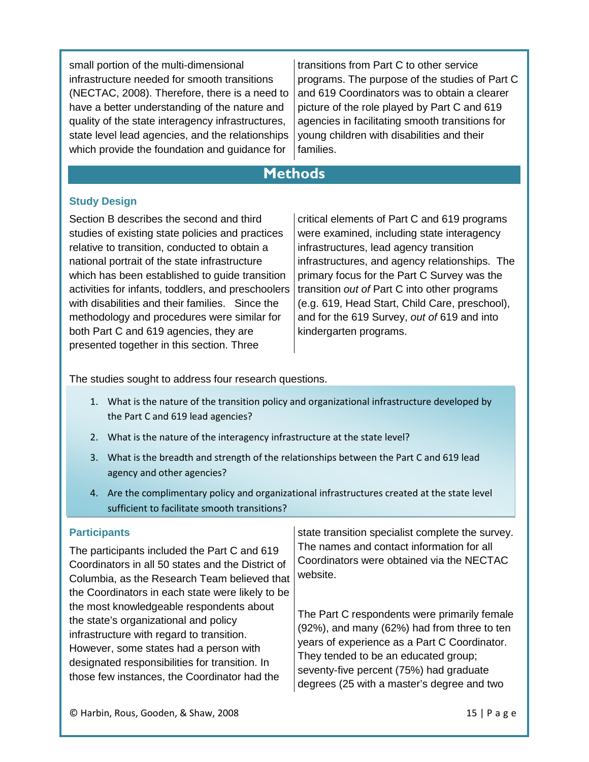small portion of the multi-dimensional infrastructure needed for smooth transitions (NECTAC, 2008). Therefore, there is a need to have a better understanding of the nature and quality of the state interagency infrastructures, state level lead agencies, and the relationships which provide the foundation and guidance for

transitions from Part C to other service programs. The purpose of the studies of Part C and 619 Coordinators was to obtain a clearer picture of the role played by Part C and 619 agencies in facilitating smooth transitions for young children with disabilities and their families.

# **Methods**

# **Study Design**

Section B describes the second and third studies of existing state policies and practices relative to transition, conducted to obtain a national portrait of the state infrastructure which has been established to guide transition activities for infants, toddlers, and preschoolers with disabilities and their families. Since the methodology and procedures were similar for both Part C and 619 agencies, they are presented together in this section. Three

critical elements of Part C and 619 programs were examined, including state interagency infrastructures, lead agency transition infrastructures, and agency relationships. The primary focus for the Part C Survey was the transition *out of* Part C into other programs (e.g. 619, Head Start, Child Care, preschool), and for the 619 Survey, *out of* 619 and into kindergarten programs.

The studies sought to address four research questions.

- 1. What is the nature of the transition policy and organizational infrastructure developed by the Part C and 619 lead agencies?
- 2. What is the nature of the interagency infrastructure at the state level?
- 3. What is the breadth and strength of the relationships between the Part C and 619 lead agency and other agencies?
- 4. Are the complimentary policy and organizational infrastructures created at the state level sufficient to facilitate smooth transitions?

#### **Participants**

The participants included the Part C and 619 Coordinators in all 50 states and the District of Columbia, as the Research Team believed that the Coordinators in each state were likely to be the most knowledgeable respondents about the state's organizational and policy infrastructure with regard to transition. However, some states had a person with designated responsibilities for transition. In those few instances, the Coordinator had the website.

state transition specialist complete the survey. The names and contact information for all Coordinators were obtained via the NECTAC

The Part C respondents were primarily female (92%), and many (62%) had from three to ten years of experience as a Part C Coordinator. They tended to be an educated group; seventy-five percent (75%) had graduate degrees (25 with a master's degree and two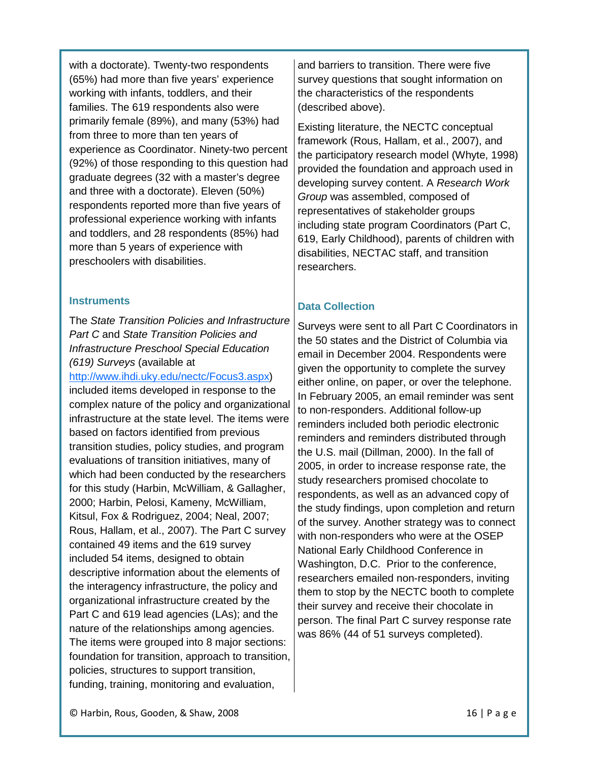with a doctorate). Twenty-two respondents (65%) had more than five years' experience working with infants, toddlers, and their families. The 619 respondents also were primarily female (89%), and many (53%) had from three to more than ten years of experience as Coordinator. Ninety-two percent (92%) of those responding to this question had graduate degrees (32 with a master's degree and three with a doctorate). Eleven (50%) respondents reported more than five years of professional experience working with infants and toddlers, and 28 respondents (85%) had more than 5 years of experience with preschoolers with disabilities.

#### **Instruments**

The *State Transition Policies and Infrastructure Part C* and *State Transition Policies and Infrastructure Preschool Special Education (619) Surveys* (available at

[http://www.ihdi.uky.edu/nectc/Focus3.aspx\)](http://www.ihdi.uky.edu/nectc/Focus3.aspx) included items developed in response to the complex nature of the policy and organizational infrastructure at the state level. The items were based on factors identified from previous transition studies, policy studies, and program evaluations of transition initiatives, many of which had been conducted by the researchers for this study (Harbin, McWilliam, & Gallagher, 2000; Harbin, Pelosi, Kameny, McWilliam, Kitsul, Fox & Rodriguez, 2004; Neal, 2007; Rous, Hallam, et al., 2007). The Part C survey contained 49 items and the 619 survey included 54 items, designed to obtain descriptive information about the elements of the interagency infrastructure, the policy and organizational infrastructure created by the Part C and 619 lead agencies (LAs); and the nature of the relationships among agencies. The items were grouped into 8 major sections: foundation for transition, approach to transition, policies, structures to support transition, funding, training, monitoring and evaluation,

and barriers to transition. There were five survey questions that sought information on the characteristics of the respondents (described above).

Existing literature, the NECTC conceptual framework (Rous, Hallam, et al., 2007), and the participatory research model (Whyte, 1998) provided the foundation and approach used in developing survey content. A *Research Work Group* was assembled, composed of representatives of stakeholder groups including state program Coordinators (Part C, 619, Early Childhood), parents of children with disabilities, NECTAC staff, and transition researchers.

# **Data Collection**

Surveys were sent to all Part C Coordinators in the 50 states and the District of Columbia via email in December 2004. Respondents were given the opportunity to complete the survey either online, on paper, or over the telephone. In February 2005, an email reminder was sent to non-responders. Additional follow-up reminders included both periodic electronic reminders and reminders distributed through the U.S. mail (Dillman, 2000). In the fall of 2005, in order to increase response rate, the study researchers promised chocolate to respondents, as well as an advanced copy of the study findings, upon completion and return of the survey. Another strategy was to connect with non-responders who were at the OSEP National Early Childhood Conference in Washington, D.C. Prior to the conference, researchers emailed non-responders, inviting them to stop by the NECTC booth to complete their survey and receive their chocolate in person. The final Part C survey response rate was 86% (44 of 51 surveys completed).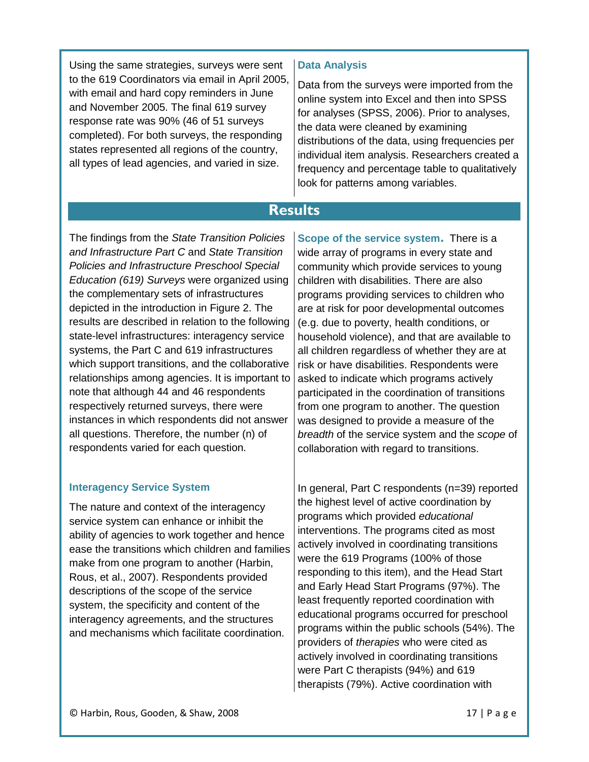Using the same strategies, surveys were sent to the 619 Coordinators via email in April 2005, with email and hard copy reminders in June and November 2005. The final 619 survey response rate was 90% (46 of 51 surveys completed). For both surveys, the responding states represented all regions of the country, all types of lead agencies, and varied in size.

### **Data Analysis**

Data from the surveys were imported from the online system into Excel and then into SPSS for analyses (SPSS, 2006). Prior to analyses, the data were cleaned by examining distributions of the data, using frequencies per individual item analysis. Researchers created a frequency and percentage table to qualitatively look for patterns among variables.

# **Results**

The findings from the *State Transition Policies and Infrastructure Part C* and *State Transition Policies and Infrastructure Preschool Special Education (619) Surveys* were organized using the complementary sets of infrastructures depicted in the introduction in Figure 2. The results are described in relation to the following state-level infrastructures: interagency service systems, the Part C and 619 infrastructures which support transitions, and the collaborative relationships among agencies. It is important to note that although 44 and 46 respondents respectively returned surveys, there were instances in which respondents did not answer all questions. Therefore, the number (n) of respondents varied for each question.

### **Interagency Service System**

The nature and context of the interagency service system can enhance or inhibit the ability of agencies to work together and hence ease the transitions which children and families make from one program to another (Harbin, Rous, et al., 2007). Respondents provided descriptions of the scope of the service system, the specificity and content of the interagency agreements, and the structures and mechanisms which facilitate coordination.

**Scope of the service system.** There is a wide array of programs in every state and community which provide services to young children with disabilities. There are also programs providing services to children who are at risk for poor developmental outcomes (e.g. due to poverty, health conditions, or household violence), and that are available to all children regardless of whether they are at risk or have disabilities. Respondents were asked to indicate which programs actively participated in the coordination of transitions from one program to another. The question was designed to provide a measure of the *breadth* of the service system and the *scope* of collaboration with regard to transitions.

In general, Part C respondents (n=39) reported the highest level of active coordination by programs which provided *educational* interventions. The programs cited as most actively involved in coordinating transitions were the 619 Programs (100% of those responding to this item), and the Head Start and Early Head Start Programs (97%). The least frequently reported coordination with educational programs occurred for preschool programs within the public schools (54%). The providers of *therapies* who were cited as actively involved in coordinating transitions were Part C therapists (94%) and 619 therapists (79%). Active coordination with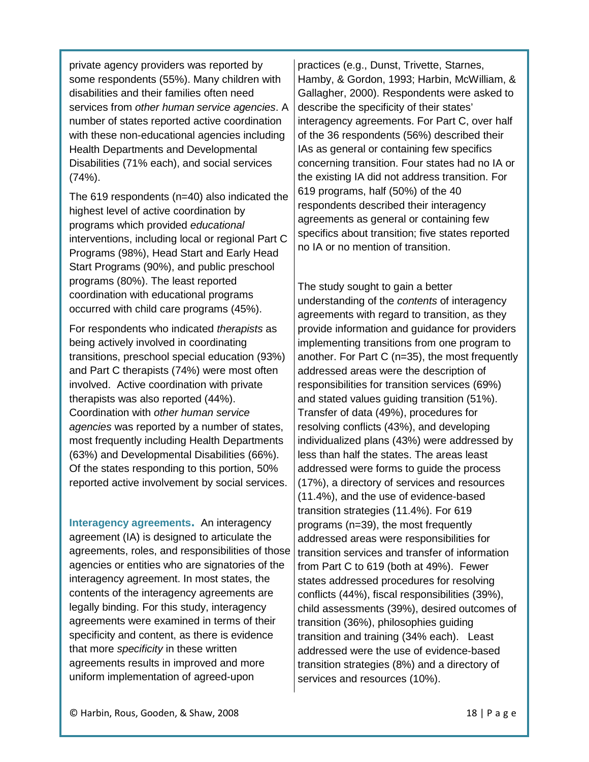private agency providers was reported by some respondents (55%). Many children with disabilities and their families often need services from *other human service agencies*. A number of states reported active coordination with these non-educational agencies including Health Departments and Developmental Disabilities (71% each), and social services  $(74%)$ .

The 619 respondents (n=40) also indicated the highest level of active coordination by programs which provided *educational* interventions, including local or regional Part C Programs (98%), Head Start and Early Head Start Programs (90%), and public preschool programs (80%). The least reported coordination with educational programs occurred with child care programs (45%).

For respondents who indicated *therapists* as being actively involved in coordinating transitions, preschool special education (93%) and Part C therapists (74%) were most often involved. Active coordination with private therapists was also reported (44%). Coordination with *other human service agencies* was reported by a number of states, most frequently including Health Departments (63%) and Developmental Disabilities (66%). Of the states responding to this portion, 50% reported active involvement by social services.

**Interagency agreements.** An interagency agreement (IA) is designed to articulate the agreements, roles, and responsibilities of those agencies or entities who are signatories of the interagency agreement. In most states, the contents of the interagency agreements are legally binding. For this study, interagency agreements were examined in terms of their specificity and content, as there is evidence that more *specificity* in these written agreements results in improved and more uniform implementation of agreed-upon

practices (e.g., Dunst, Trivette, Starnes, Hamby, & Gordon, 1993; Harbin, McWilliam, & Gallagher, 2000). Respondents were asked to describe the specificity of their states' interagency agreements. For Part C, over half of the 36 respondents (56%) described their IAs as general or containing few specifics concerning transition. Four states had no IA or the existing IA did not address transition. For 619 programs, half (50%) of the 40 respondents described their interagency agreements as general or containing few specifics about transition; five states reported no IA or no mention of transition.

The study sought to gain a better understanding of the *contents* of interagency agreements with regard to transition, as they provide information and guidance for providers implementing transitions from one program to another. For Part C (n=35), the most frequently addressed areas were the description of responsibilities for transition services (69%) and stated values guiding transition (51%). Transfer of data (49%), procedures for resolving conflicts (43%), and developing individualized plans (43%) were addressed by less than half the states. The areas least addressed were forms to guide the process (17%), a directory of services and resources (11.4%), and the use of evidence-based transition strategies (11.4%). For 619 programs (n=39), the most frequently addressed areas were responsibilities for transition services and transfer of information from Part C to 619 (both at 49%). Fewer states addressed procedures for resolving conflicts (44%), fiscal responsibilities (39%), child assessments (39%), desired outcomes of transition (36%), philosophies guiding transition and training (34% each). Least addressed were the use of evidence-based transition strategies (8%) and a directory of services and resources (10%).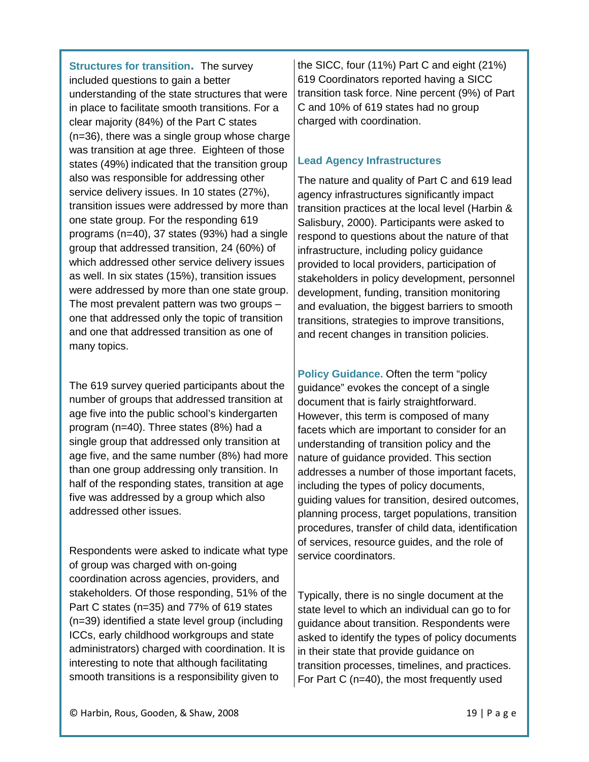**Structures for transition.** The survey included questions to gain a better understanding of the state structures that were in place to facilitate smooth transitions. For a clear majority (84%) of the Part C states (n=36), there was a single group whose charge was transition at age three. Eighteen of those states (49%) indicated that the transition group also was responsible for addressing other service delivery issues. In 10 states (27%), transition issues were addressed by more than one state group. For the responding 619 programs (n=40), 37 states (93%) had a single group that addressed transition, 24 (60%) of which addressed other service delivery issues as well. In six states (15%), transition issues were addressed by more than one state group. The most prevalent pattern was two groups – one that addressed only the topic of transition and one that addressed transition as one of many topics.

The 619 survey queried participants about the number of groups that addressed transition at age five into the public school's kindergarten program (n=40). Three states (8%) had a single group that addressed only transition at age five, and the same number (8%) had more than one group addressing only transition. In half of the responding states, transition at age five was addressed by a group which also addressed other issues.

Respondents were asked to indicate what type of group was charged with on-going coordination across agencies, providers, and stakeholders. Of those responding, 51% of the Part C states (n=35) and 77% of 619 states (n=39) identified a state level group (including ICCs, early childhood workgroups and state administrators) charged with coordination. It is interesting to note that although facilitating smooth transitions is a responsibility given to

the SICC, four (11%) Part C and eight (21%) 619 Coordinators reported having a SICC transition task force. Nine percent (9%) of Part C and 10% of 619 states had no group charged with coordination.

### **Lead Agency Infrastructures**

The nature and quality of Part C and 619 lead agency infrastructures significantly impact transition practices at the local level (Harbin & Salisbury, 2000). Participants were asked to respond to questions about the nature of that infrastructure, including policy guidance provided to local providers, participation of stakeholders in policy development, personnel development, funding, transition monitoring and evaluation, the biggest barriers to smooth transitions, strategies to improve transitions, and recent changes in transition policies.

**Policy Guidance.** Often the term "policy guidance" evokes the concept of a single document that is fairly straightforward. However, this term is composed of many facets which are important to consider for an understanding of transition policy and the nature of guidance provided. This section addresses a number of those important facets, including the types of policy documents, guiding values for transition, desired outcomes, planning process, target populations, transition procedures, transfer of child data, identification of services, resource guides, and the role of service coordinators.

Typically, there is no single document at the state level to which an individual can go to for guidance about transition. Respondents were asked to identify the types of policy documents in their state that provide guidance on transition processes, timelines, and practices. For Part C (n=40), the most frequently used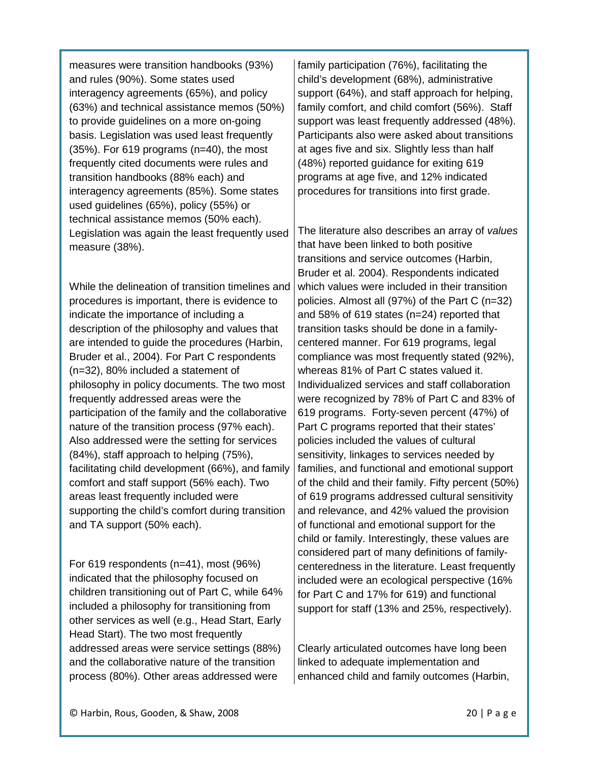measures were transition handbooks (93%) and rules (90%). Some states used interagency agreements (65%), and policy (63%) and technical assistance memos (50%) to provide guidelines on a more on-going basis. Legislation was used least frequently (35%). For 619 programs (n=40), the most frequently cited documents were rules and transition handbooks (88% each) and interagency agreements (85%). Some states used guidelines (65%), policy (55%) or technical assistance memos (50% each). Legislation was again the least frequently used measure (38%).

While the delineation of transition timelines and procedures is important, there is evidence to indicate the importance of including a description of the philosophy and values that are intended to guide the procedures (Harbin, Bruder et al., 2004). For Part C respondents (n=32), 80% included a statement of philosophy in policy documents. The two most frequently addressed areas were the participation of the family and the collaborative nature of the transition process (97% each). Also addressed were the setting for services (84%), staff approach to helping (75%), facilitating child development (66%), and family comfort and staff support (56% each). Two areas least frequently included were supporting the child's comfort during transition and TA support (50% each).

For 619 respondents (n=41), most (96%) indicated that the philosophy focused on children transitioning out of Part C, while 64% included a philosophy for transitioning from other services as well (e.g., Head Start, Early Head Start). The two most frequently addressed areas were service settings (88%) and the collaborative nature of the transition process (80%). Other areas addressed were

family participation (76%), facilitating the child's development (68%), administrative support (64%), and staff approach for helping, family comfort, and child comfort (56%). Staff support was least frequently addressed (48%). Participants also were asked about transitions at ages five and six. Slightly less than half (48%) reported guidance for exiting 619 programs at age five, and 12% indicated procedures for transitions into first grade.

The literature also describes an array of *values* that have been linked to both positive transitions and service outcomes (Harbin, Bruder et al. 2004). Respondents indicated which values were included in their transition policies. Almost all (97%) of the Part C (n=32) and 58% of 619 states (n=24) reported that transition tasks should be done in a familycentered manner. For 619 programs, legal compliance was most frequently stated (92%), whereas 81% of Part C states valued it. Individualized services and staff collaboration were recognized by 78% of Part C and 83% of 619 programs. Forty-seven percent (47%) of Part C programs reported that their states' policies included the values of cultural sensitivity, linkages to services needed by families, and functional and emotional support of the child and their family. Fifty percent (50%) of 619 programs addressed cultural sensitivity and relevance, and 42% valued the provision of functional and emotional support for the child or family. Interestingly, these values are considered part of many definitions of familycenteredness in the literature. Least frequently included were an ecological perspective (16% for Part C and 17% for 619) and functional support for staff (13% and 25%, respectively).

Clearly articulated outcomes have long been linked to adequate implementation and enhanced child and family outcomes (Harbin,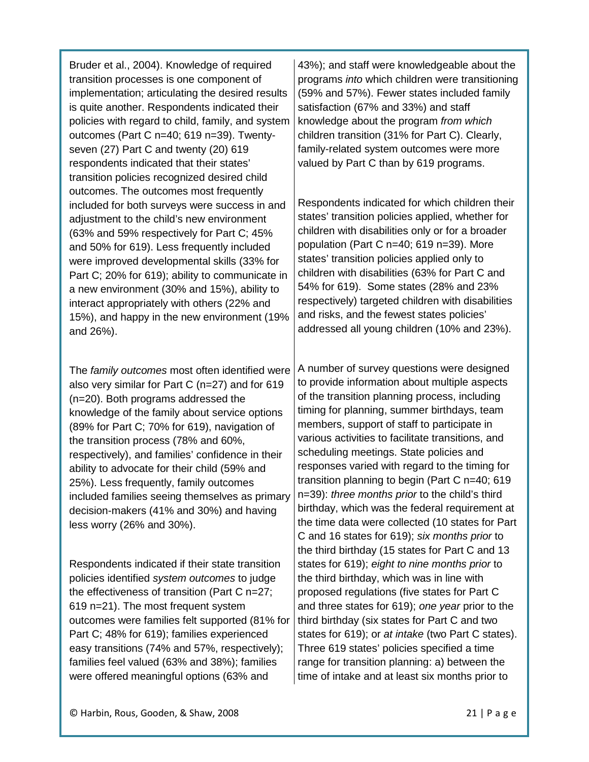Bruder et al., 2004). Knowledge of required transition processes is one component of implementation; articulating the desired results is quite another. Respondents indicated their policies with regard to child, family, and system outcomes (Part C n=40; 619 n=39). Twentyseven (27) Part C and twenty (20) 619 respondents indicated that their states' transition policies recognized desired child outcomes. The outcomes most frequently included for both surveys were success in and adjustment to the child's new environment (63% and 59% respectively for Part C; 45% and 50% for 619). Less frequently included were improved developmental skills (33% for Part C; 20% for 619); ability to communicate in a new environment (30% and 15%), ability to interact appropriately with others (22% and 15%), and happy in the new environment (19% and 26%).

The *family outcomes* most often identified were also very similar for Part C (n=27) and for 619 (n=20). Both programs addressed the knowledge of the family about service options (89% for Part C; 70% for 619), navigation of the transition process (78% and 60%, respectively), and families' confidence in their ability to advocate for their child (59% and 25%). Less frequently, family outcomes included families seeing themselves as primary decision-makers (41% and 30%) and having less worry (26% and 30%).

Respondents indicated if their state transition policies identified *system outcomes* to judge the effectiveness of transition (Part C n=27; 619 n=21). The most frequent system outcomes were families felt supported (81% for Part C; 48% for 619); families experienced easy transitions (74% and 57%, respectively); families feel valued (63% and 38%); families were offered meaningful options (63% and

43%); and staff were knowledgeable about the programs *into* which children were transitioning (59% and 57%). Fewer states included family satisfaction (67% and 33%) and staff knowledge about the program *from which* children transition (31% for Part C). Clearly, family-related system outcomes were more valued by Part C than by 619 programs.

Respondents indicated for which children their states' transition policies applied, whether for children with disabilities only or for a broader population (Part C n=40; 619 n=39). More states' transition policies applied only to children with disabilities (63% for Part C and 54% for 619). Some states (28% and 23% respectively) targeted children with disabilities and risks, and the fewest states policies' addressed all young children (10% and 23%).

A number of survey questions were designed to provide information about multiple aspects of the transition planning process, including timing for planning, summer birthdays, team members, support of staff to participate in various activities to facilitate transitions, and scheduling meetings. State policies and responses varied with regard to the timing for transition planning to begin (Part C n=40; 619 n=39): *three months prior* to the child's third birthday, which was the federal requirement at the time data were collected (10 states for Part C and 16 states for 619); *six months prior* to the third birthday (15 states for Part C and 13 states for 619); *eight to nine months prior* to the third birthday, which was in line with proposed regulations (five states for Part C and three states for 619); *one year* prior to the third birthday (six states for Part C and two states for 619); or *at intake* (two Part C states). Three 619 states' policies specified a time range for transition planning: a) between the time of intake and at least six months prior to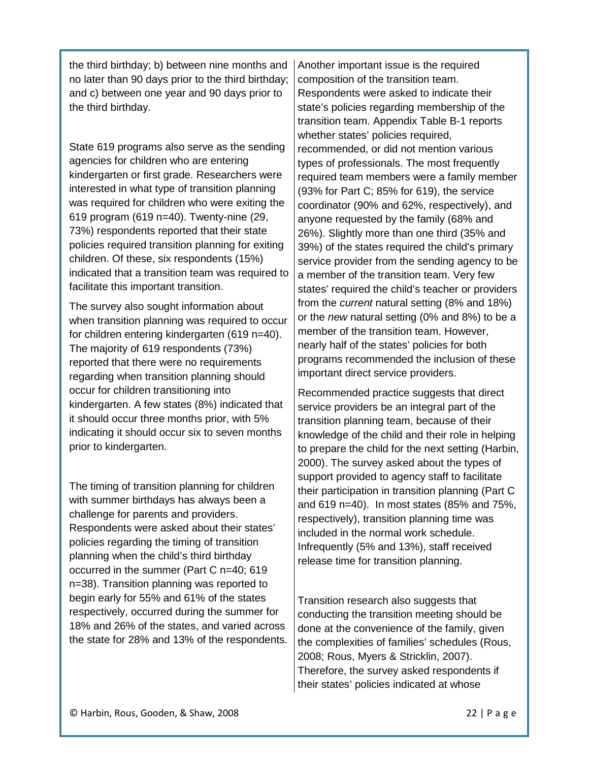the third birthday; b) between nine months and no later than 90 days prior to the third birthday; and c) between one year and 90 days prior to the third birthday.

State 619 programs also serve as the sending agencies for children who are entering kindergarten or first grade. Researchers were interested in what type of transition planning was required for children who were exiting the 619 program (619 n=40). Twenty-nine (29, 73%) respondents reported that their state policies required transition planning for exiting children. Of these, six respondents (15%) indicated that a transition team was required to facilitate this important transition.

The survey also sought information about when transition planning was required to occur for children entering kindergarten (619 n=40). The majority of 619 respondents (73%) reported that there were no requirements regarding when transition planning should occur for children transitioning into kindergarten. A few states (8%) indicated that it should occur three months prior, with 5% indicating it should occur six to seven months prior to kindergarten.

The timing of transition planning for children with summer birthdays has always been a challenge for parents and providers. Respondents were asked about their states' policies regarding the timing of transition planning when the child's third birthday occurred in the summer (Part C n=40; 619 n=38). Transition planning was reported to begin early for 55% and 61% of the states respectively, occurred during the summer for 18% and 26% of the states, and varied across the state for 28% and 13% of the respondents.

Another important issue is the required composition of the transition team. Respondents were asked to indicate their state's policies regarding membership of the transition team. Appendix Table B-1 reports whether states' policies required, recommended, or did not mention various types of professionals. The most frequently required team members were a family member (93% for Part C; 85% for 619), the service coordinator (90% and 62%, respectively), and anyone requested by the family (68% and 26%). Slightly more than one third (35% and 39%) of the states required the child's primary service provider from the sending agency to be a member of the transition team. Very few states' required the child's teacher or providers from the *current* natural setting (8% and 18%) or the *new* natural setting (0% and 8%) to be a member of the transition team. However, nearly half of the states' policies for both programs recommended the inclusion of these important direct service providers.

Recommended practice suggests that direct service providers be an integral part of the transition planning team, because of their knowledge of the child and their role in helping to prepare the child for the next setting (Harbin, 2000). The survey asked about the types of support provided to agency staff to facilitate their participation in transition planning (Part C and 619 n=40). In most states (85% and 75%, respectively), transition planning time was included in the normal work schedule. Infrequently (5% and 13%), staff received release time for transition planning.

Transition research also suggests that conducting the transition meeting should be done at the convenience of the family, given the complexities of families' schedules (Rous, 2008; Rous, Myers & Stricklin, 2007). Therefore, the survey asked respondents if their states' policies indicated at whose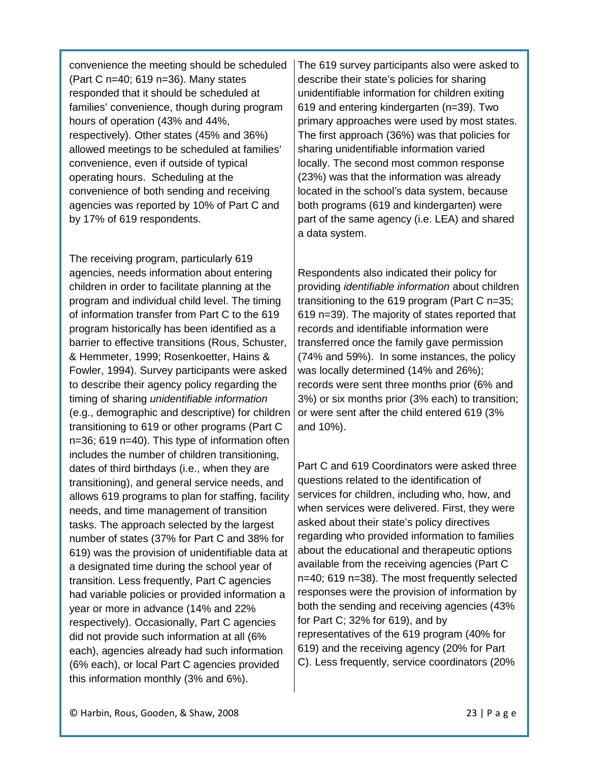convenience the meeting should be scheduled (Part C n=40; 619 n=36). Many states responded that it should be scheduled at families' convenience, though during program hours of operation (43% and 44%, respectively). Other states (45% and 36%) allowed meetings to be scheduled at families' convenience, even if outside of typical operating hours. Scheduling at the convenience of both sending and receiving agencies was reported by 10% of Part C and by 17% of 619 respondents.

The receiving program, particularly 619 agencies, needs information about entering children in order to facilitate planning at the program and individual child level. The timing of information transfer from Part C to the 619 program historically has been identified as a barrier to effective transitions (Rous, Schuster, & Hemmeter, 1999; Rosenkoetter, Hains & Fowler, 1994). Survey participants were asked to describe their agency policy regarding the timing of sharing *unidentifiable information* (e.g., demographic and descriptive) for children transitioning to 619 or other programs (Part C n=36; 619 n=40). This type of information often includes the number of children transitioning, dates of third birthdays (i.e., when they are transitioning), and general service needs, and allows 619 programs to plan for staffing, facility needs, and time management of transition tasks. The approach selected by the largest number of states (37% for Part C and 38% for 619) was the provision of unidentifiable data at a designated time during the school year of transition. Less frequently, Part C agencies had variable policies or provided information a year or more in advance (14% and 22% respectively). Occasionally, Part C agencies did not provide such information at all (6% each), agencies already had such information (6% each), or local Part C agencies provided this information monthly (3% and 6%).

The 619 survey participants also were asked to describe their state's policies for sharing unidentifiable information for children exiting 619 and entering kindergarten (n=39). Two primary approaches were used by most states. The first approach (36%) was that policies for sharing unidentifiable information varied locally. The second most common response (23%) was that the information was already located in the school's data system, because both programs (619 and kindergarten) were part of the same agency (i.e. LEA) and shared a data system.

Respondents also indicated their policy for providing *identifiable information* about children transitioning to the 619 program (Part C n=35; 619 n=39). The majority of states reported that records and identifiable information were transferred once the family gave permission (74% and 59%). In some instances, the policy was locally determined (14% and 26%); records were sent three months prior (6% and 3%) or six months prior (3% each) to transition; or were sent after the child entered 619 (3% and 10%).

Part C and 619 Coordinators were asked three questions related to the identification of services for children, including who, how, and when services were delivered. First, they were asked about their state's policy directives regarding who provided information to families about the educational and therapeutic options available from the receiving agencies (Part C n=40; 619 n=38). The most frequently selected responses were the provision of information by both the sending and receiving agencies (43% for Part C; 32% for 619), and by representatives of the 619 program (40% for 619) and the receiving agency (20% for Part C). Less frequently, service coordinators (20%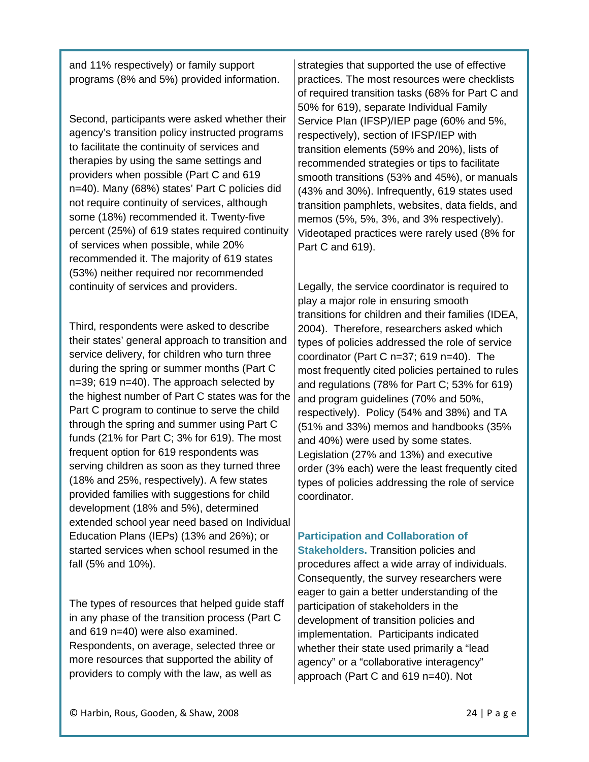and 11% respectively) or family support programs (8% and 5%) provided information.

Second, participants were asked whether their agency's transition policy instructed programs to facilitate the continuity of services and therapies by using the same settings and providers when possible (Part C and 619 n=40). Many (68%) states' Part C policies did not require continuity of services, although some (18%) recommended it. Twenty-five percent (25%) of 619 states required continuity of services when possible, while 20% recommended it. The majority of 619 states (53%) neither required nor recommended continuity of services and providers.

Third, respondents were asked to describe their states' general approach to transition and service delivery, for children who turn three during the spring or summer months (Part C n=39; 619 n=40). The approach selected by the highest number of Part C states was for the Part C program to continue to serve the child through the spring and summer using Part C funds (21% for Part C; 3% for 619). The most frequent option for 619 respondents was serving children as soon as they turned three (18% and 25%, respectively). A few states provided families with suggestions for child development (18% and 5%), determined extended school year need based on Individual Education Plans (IEPs) (13% and 26%); or started services when school resumed in the fall (5% and 10%).

The types of resources that helped guide staff in any phase of the transition process (Part C and 619 n=40) were also examined. Respondents, on average, selected three or more resources that supported the ability of providers to comply with the law, as well as

strategies that supported the use of effective practices. The most resources were checklists of required transition tasks (68% for Part C and 50% for 619), separate Individual Family Service Plan (IFSP)/IEP page (60% and 5%, respectively), section of IFSP/IEP with transition elements (59% and 20%), lists of recommended strategies or tips to facilitate smooth transitions (53% and 45%), or manuals (43% and 30%). Infrequently, 619 states used transition pamphlets, websites, data fields, and memos (5%, 5%, 3%, and 3% respectively). Videotaped practices were rarely used (8% for Part C and 619).

Legally, the service coordinator is required to play a major role in ensuring smooth transitions for children and their families (IDEA, 2004). Therefore, researchers asked which types of policies addressed the role of service coordinator (Part C n=37; 619 n=40). The most frequently cited policies pertained to rules and regulations (78% for Part C; 53% for 619) and program guidelines (70% and 50%, respectively). Policy (54% and 38%) and TA (51% and 33%) memos and handbooks (35% and 40%) were used by some states. Legislation (27% and 13%) and executive order (3% each) were the least frequently cited types of policies addressing the role of service coordinator.

# **Participation and Collaboration of**

**Stakeholders.** Transition policies and procedures affect a wide array of individuals. Consequently, the survey researchers were eager to gain a better understanding of the participation of stakeholders in the development of transition policies and implementation. Participants indicated whether their state used primarily a "lead agency" or a "collaborative interagency" approach (Part C and 619 n=40). Not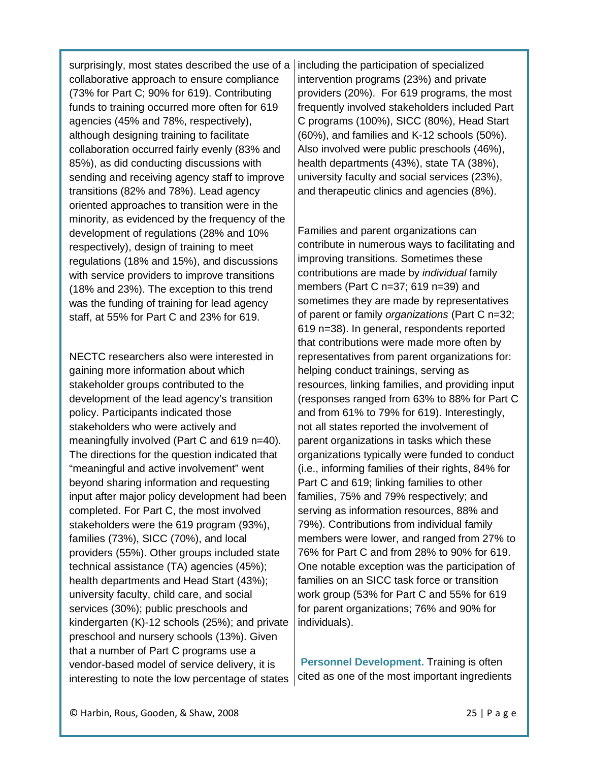surprisingly, most states described the use of a collaborative approach to ensure compliance (73% for Part C; 90% for 619). Contributing funds to training occurred more often for 619 agencies (45% and 78%, respectively), although designing training to facilitate collaboration occurred fairly evenly (83% and 85%), as did conducting discussions with sending and receiving agency staff to improve transitions (82% and 78%). Lead agency oriented approaches to transition were in the minority, as evidenced by the frequency of the development of regulations (28% and 10% respectively), design of training to meet regulations (18% and 15%), and discussions with service providers to improve transitions (18% and 23%). The exception to this trend was the funding of training for lead agency staff, at 55% for Part C and 23% for 619.

NECTC researchers also were interested in gaining more information about which stakeholder groups contributed to the development of the lead agency's transition policy. Participants indicated those stakeholders who were actively and meaningfully involved (Part C and 619 n=40). The directions for the question indicated that "meaningful and active involvement" went beyond sharing information and requesting input after major policy development had been completed. For Part C, the most involved stakeholders were the 619 program (93%), families (73%), SICC (70%), and local providers (55%). Other groups included state technical assistance (TA) agencies (45%); health departments and Head Start (43%); university faculty, child care, and social services (30%); public preschools and kindergarten (K)-12 schools (25%); and private preschool and nursery schools (13%). Given that a number of Part C programs use a vendor-based model of service delivery, it is interesting to note the low percentage of states including the participation of specialized intervention programs (23%) and private providers (20%). For 619 programs, the most frequently involved stakeholders included Part C programs (100%), SICC (80%), Head Start (60%), and families and K-12 schools (50%). Also involved were public preschools (46%), health departments (43%), state TA (38%), university faculty and social services (23%), and therapeutic clinics and agencies (8%).

Families and parent organizations can contribute in numerous ways to facilitating and improving transitions. Sometimes these contributions are made by *individual* family members (Part C n=37; 619 n=39) and sometimes they are made by representatives of parent or family *organizations* (Part C n=32; 619 n=38). In general, respondents reported that contributions were made more often by representatives from parent organizations for: helping conduct trainings, serving as resources, linking families, and providing input (responses ranged from 63% to 88% for Part C and from 61% to 79% for 619). Interestingly, not all states reported the involvement of parent organizations in tasks which these organizations typically were funded to conduct (i.e., informing families of their rights, 84% for Part C and 619; linking families to other families, 75% and 79% respectively; and serving as information resources, 88% and 79%). Contributions from individual family members were lower, and ranged from 27% to 76% for Part C and from 28% to 90% for 619. One notable exception was the participation of families on an SICC task force or transition work group (53% for Part C and 55% for 619 for parent organizations; 76% and 90% for individuals).

**Personnel Development.** Training is often cited as one of the most important ingredients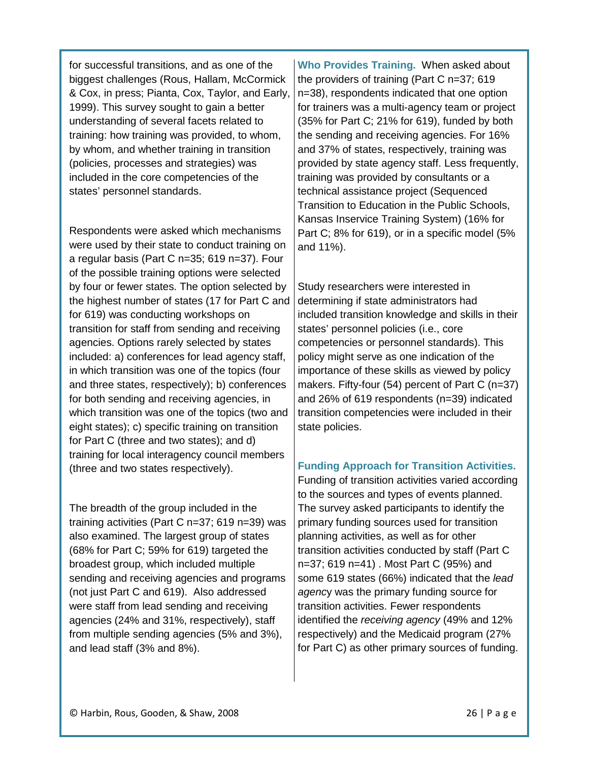for successful transitions, and as one of the biggest challenges (Rous, Hallam, McCormick & Cox, in press; Pianta, Cox, Taylor, and Early, 1999). This survey sought to gain a better understanding of several facets related to training: how training was provided, to whom, by whom, and whether training in transition (policies, processes and strategies) was included in the core competencies of the states' personnel standards.

Respondents were asked which mechanisms were used by their state to conduct training on a regular basis (Part C n=35; 619 n=37). Four of the possible training options were selected by four or fewer states. The option selected by the highest number of states (17 for Part C and for 619) was conducting workshops on transition for staff from sending and receiving agencies. Options rarely selected by states included: a) conferences for lead agency staff, in which transition was one of the topics (four and three states, respectively); b) conferences for both sending and receiving agencies, in which transition was one of the topics (two and eight states); c) specific training on transition for Part C (three and two states); and d) training for local interagency council members (three and two states respectively).

The breadth of the group included in the training activities (Part C n=37; 619 n=39) was also examined. The largest group of states (68% for Part C; 59% for 619) targeted the broadest group, which included multiple sending and receiving agencies and programs (not just Part C and 619). Also addressed were staff from lead sending and receiving agencies (24% and 31%, respectively), staff from multiple sending agencies (5% and 3%), and lead staff (3% and 8%).

**Who Provides Training.** When asked about the providers of training (Part C n=37; 619 n=38), respondents indicated that one option for trainers was a multi-agency team or project (35% for Part C; 21% for 619), funded by both the sending and receiving agencies. For 16% and 37% of states, respectively, training was provided by state agency staff. Less frequently, training was provided by consultants or a technical assistance project (Sequenced Transition to Education in the Public Schools, Kansas Inservice Training System) (16% for Part C; 8% for 619), or in a specific model (5% and 11%).

Study researchers were interested in determining if state administrators had included transition knowledge and skills in their states' personnel policies (i.e., core competencies or personnel standards). This policy might serve as one indication of the importance of these skills as viewed by policy makers. Fifty-four (54) percent of Part C (n=37) and 26% of 619 respondents (n=39) indicated transition competencies were included in their state policies.

### **Funding Approach for Transition Activities.**

Funding of transition activities varied according to the sources and types of events planned. The survey asked participants to identify the primary funding sources used for transition planning activities, as well as for other transition activities conducted by staff (Part C n=37; 619 n=41) . Most Part C (95%) and some 619 states (66%) indicated that the *lead agenc*y was the primary funding source for transition activities. Fewer respondents identified the *receiving agency* (49% and 12% respectively) and the Medicaid program (27% for Part C) as other primary sources of funding.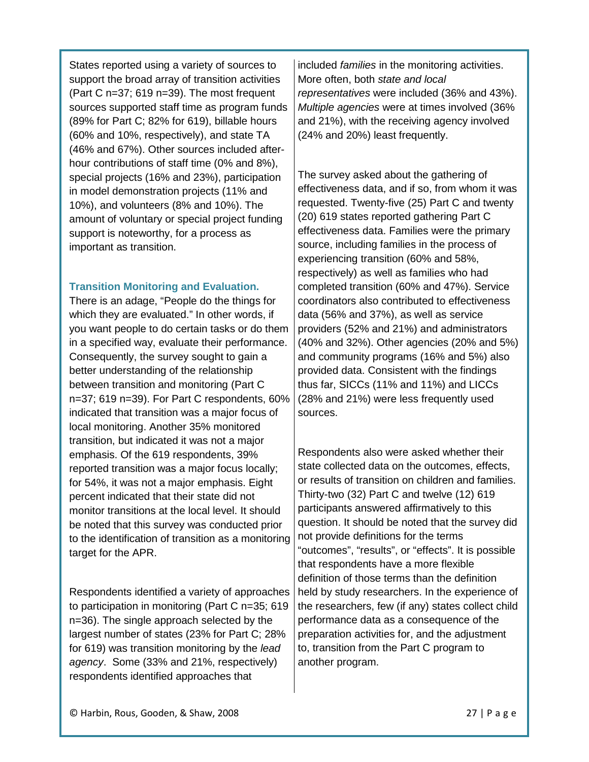States reported using a variety of sources to support the broad array of transition activities (Part C n=37; 619 n=39). The most frequent sources supported staff time as program funds (89% for Part C; 82% for 619), billable hours (60% and 10%, respectively), and state TA (46% and 67%). Other sources included afterhour contributions of staff time (0% and 8%), special projects (16% and 23%), participation in model demonstration projects (11% and 10%), and volunteers (8% and 10%). The amount of voluntary or special project funding support is noteworthy, for a process as important as transition.

### **Transition Monitoring and Evaluation.**

There is an adage, "People do the things for which they are evaluated." In other words, if you want people to do certain tasks or do them in a specified way, evaluate their performance. Consequently, the survey sought to gain a better understanding of the relationship between transition and monitoring (Part C n=37; 619 n=39). For Part C respondents, 60% indicated that transition was a major focus of local monitoring. Another 35% monitored transition, but indicated it was not a major emphasis. Of the 619 respondents, 39% reported transition was a major focus locally; for 54%, it was not a major emphasis. Eight percent indicated that their state did not monitor transitions at the local level. It should be noted that this survey was conducted prior to the identification of transition as a monitoring target for the APR.

Respondents identified a variety of approaches to participation in monitoring (Part C n=35; 619 n=36). The single approach selected by the largest number of states (23% for Part C; 28% for 619) was transition monitoring by the *lead agency*. Some (33% and 21%, respectively) respondents identified approaches that

included *families* in the monitoring activities. More often, both *state and local representatives* were included (36% and 43%). *Multiple agencies* were at times involved (36% and 21%), with the receiving agency involved (24% and 20%) least frequently.

The survey asked about the gathering of effectiveness data, and if so, from whom it was requested. Twenty-five (25) Part C and twenty (20) 619 states reported gathering Part C effectiveness data. Families were the primary source, including families in the process of experiencing transition (60% and 58%, respectively) as well as families who had completed transition (60% and 47%). Service coordinators also contributed to effectiveness data (56% and 37%), as well as service providers (52% and 21%) and administrators (40% and 32%). Other agencies (20% and 5%) and community programs (16% and 5%) also provided data. Consistent with the findings thus far, SICCs (11% and 11%) and LICCs (28% and 21%) were less frequently used sources.

Respondents also were asked whether their state collected data on the outcomes, effects, or results of transition on children and families. Thirty-two (32) Part C and twelve (12) 619 participants answered affirmatively to this question. It should be noted that the survey did not provide definitions for the terms "outcomes", "results", or "effects". It is possible that respondents have a more flexible definition of those terms than the definition held by study researchers. In the experience of the researchers, few (if any) states collect child performance data as a consequence of the preparation activities for, and the adjustment to, transition from the Part C program to another program.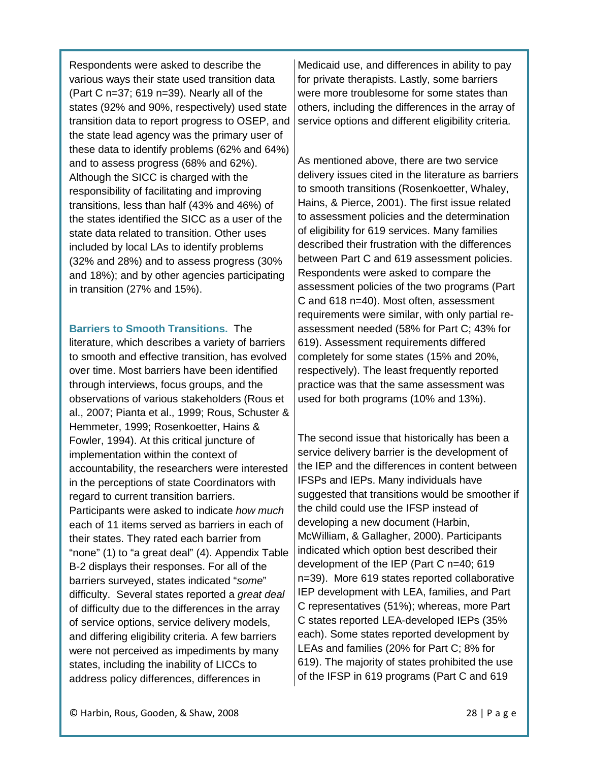Respondents were asked to describe the various ways their state used transition data (Part C n=37; 619 n=39). Nearly all of the states (92% and 90%, respectively) used state transition data to report progress to OSEP, and the state lead agency was the primary user of these data to identify problems (62% and 64%) and to assess progress (68% and 62%). Although the SICC is charged with the responsibility of facilitating and improving transitions, less than half (43% and 46%) of the states identified the SICC as a user of the state data related to transition. Other uses included by local LAs to identify problems (32% and 28%) and to assess progress (30% and 18%); and by other agencies participating in transition (27% and 15%).

### **Barriers to Smooth Transitions.** The

literature, which describes a variety of barriers to smooth and effective transition, has evolved over time. Most barriers have been identified through interviews, focus groups, and the observations of various stakeholders (Rous et al., 2007; Pianta et al., 1999; Rous, Schuster & Hemmeter, 1999; Rosenkoetter, Hains & Fowler, 1994). At this critical juncture of implementation within the context of accountability, the researchers were interested in the perceptions of state Coordinators with regard to current transition barriers. Participants were asked to indicate *how much* each of 11 items served as barriers in each of their states. They rated each barrier from "none" (1) to "a great deal" (4). Appendix Table B-2 displays their responses. For all of the barriers surveyed, states indicated "*some*" difficulty. Several states reported a *great deal* of difficulty due to the differences in the array of service options, service delivery models, and differing eligibility criteria. A few barriers were not perceived as impediments by many states, including the inability of LICCs to address policy differences, differences in

Medicaid use, and differences in ability to pay for private therapists. Lastly, some barriers were more troublesome for some states than others, including the differences in the array of service options and different eligibility criteria.

As mentioned above, there are two service delivery issues cited in the literature as barriers to smooth transitions (Rosenkoetter, Whaley, Hains, & Pierce, 2001). The first issue related to assessment policies and the determination of eligibility for 619 services. Many families described their frustration with the differences between Part C and 619 assessment policies. Respondents were asked to compare the assessment policies of the two programs (Part C and 618 n=40). Most often, assessment requirements were similar, with only partial reassessment needed (58% for Part C; 43% for 619). Assessment requirements differed completely for some states (15% and 20%, respectively). The least frequently reported practice was that the same assessment was used for both programs (10% and 13%).

The second issue that historically has been a service delivery barrier is the development of the IEP and the differences in content between IFSPs and IEPs. Many individuals have suggested that transitions would be smoother if the child could use the IFSP instead of developing a new document (Harbin, McWilliam, & Gallagher, 2000). Participants indicated which option best described their development of the IEP (Part C n=40; 619 n=39). More 619 states reported collaborative IEP development with LEA, families, and Part C representatives (51%); whereas, more Part C states reported LEA-developed IEPs (35% each). Some states reported development by LEAs and families (20% for Part C; 8% for 619). The majority of states prohibited the use of the IFSP in 619 programs (Part C and 619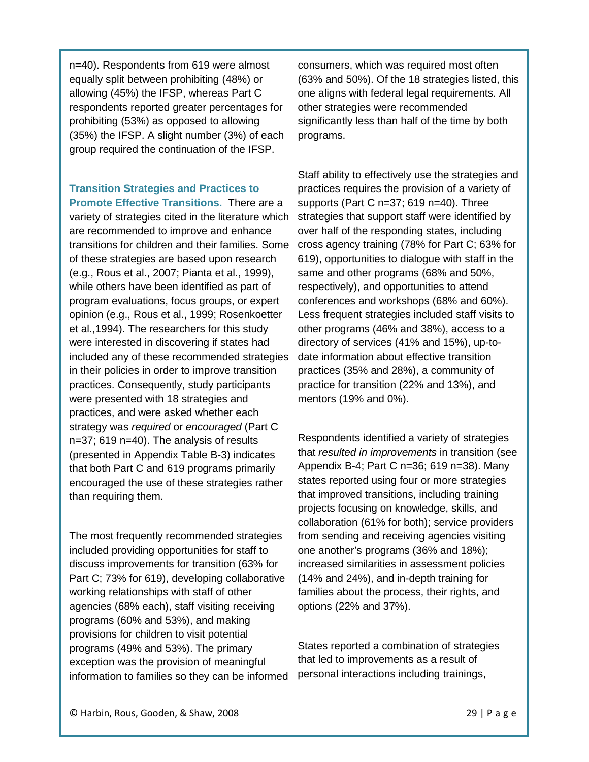n=40). Respondents from 619 were almost equally split between prohibiting (48%) or allowing (45%) the IFSP, whereas Part C respondents reported greater percentages for prohibiting (53%) as opposed to allowing (35%) the IFSP. A slight number (3%) of each group required the continuation of the IFSP.

#### **Transition Strategies and Practices to Promote Effective Transitions.** There are a

variety of strategies cited in the literature which are recommended to improve and enhance transitions for children and their families. Some of these strategies are based upon research (e.g., Rous et al., 2007; Pianta et al., 1999), while others have been identified as part of program evaluations, focus groups, or expert opinion (e.g., Rous et al., 1999; Rosenkoetter et al.,1994). The researchers for this study were interested in discovering if states had included any of these recommended strategies in their policies in order to improve transition practices. Consequently, study participants were presented with 18 strategies and practices, and were asked whether each strategy was *required* or *encouraged* (Part C n=37; 619 n=40). The analysis of results (presented in Appendix Table B-3) indicates that both Part C and 619 programs primarily encouraged the use of these strategies rather than requiring them.

The most frequently recommended strategies included providing opportunities for staff to discuss improvements for transition (63% for Part C; 73% for 619), developing collaborative working relationships with staff of other agencies (68% each), staff visiting receiving programs (60% and 53%), and making provisions for children to visit potential programs (49% and 53%). The primary exception was the provision of meaningful information to families so they can be informed consumers, which was required most often (63% and 50%). Of the 18 strategies listed, this one aligns with federal legal requirements. All other strategies were recommended significantly less than half of the time by both programs.

Staff ability to effectively use the strategies and practices requires the provision of a variety of supports (Part C n=37; 619 n=40). Three strategies that support staff were identified by over half of the responding states, including cross agency training (78% for Part C; 63% for 619), opportunities to dialogue with staff in the same and other programs (68% and 50%, respectively), and opportunities to attend conferences and workshops (68% and 60%). Less frequent strategies included staff visits to other programs (46% and 38%), access to a directory of services (41% and 15%), up-todate information about effective transition practices (35% and 28%), a community of practice for transition (22% and 13%), and mentors (19% and 0%).

Respondents identified a variety of strategies that *resulted in improvements* in transition (see Appendix B-4; Part C n=36; 619 n=38). Many states reported using four or more strategies that improved transitions, including training projects focusing on knowledge, skills, and collaboration (61% for both); service providers from sending and receiving agencies visiting one another's programs (36% and 18%); increased similarities in assessment policies (14% and 24%), and in-depth training for families about the process, their rights, and options (22% and 37%).

States reported a combination of strategies that led to improvements as a result of personal interactions including trainings,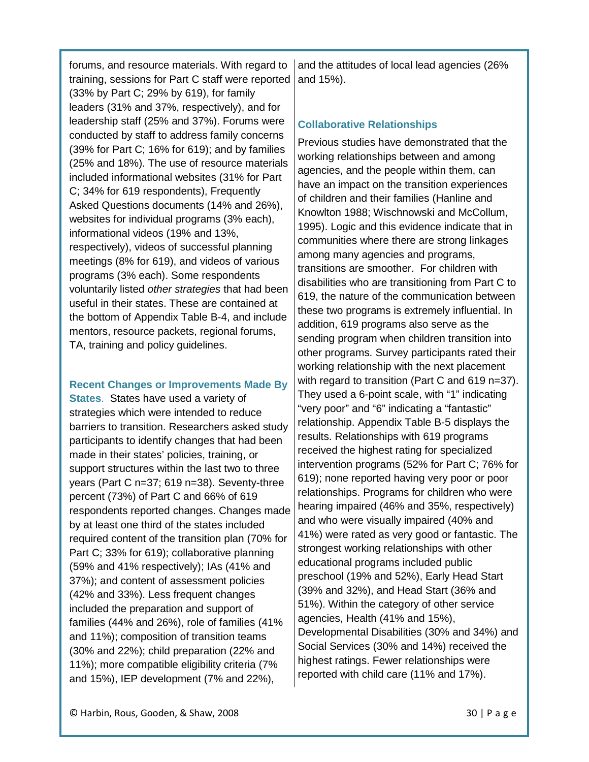forums, and resource materials. With regard to training, sessions for Part C staff were reported

(33% by Part C; 29% by 619), for family leaders (31% and 37%, respectively), and for leadership staff (25% and 37%). Forums were conducted by staff to address family concerns (39% for Part C; 16% for 619); and by families (25% and 18%). The use of resource materials included informational websites (31% for Part C; 34% for 619 respondents), Frequently Asked Questions documents (14% and 26%), websites for individual programs (3% each), informational videos (19% and 13%, respectively), videos of successful planning meetings (8% for 619), and videos of various programs (3% each). Some respondents voluntarily listed *other strategies* that had been useful in their states. These are contained at the bottom of Appendix Table B-4, and include mentors, resource packets, regional forums, TA, training and policy guidelines.

#### **Recent Changes or Improvements Made By**

**States**. States have used a variety of strategies which were intended to reduce barriers to transition. Researchers asked study participants to identify changes that had been made in their states' policies, training, or support structures within the last two to three years (Part C n=37; 619 n=38). Seventy-three percent (73%) of Part C and 66% of 619 respondents reported changes. Changes made by at least one third of the states included required content of the transition plan (70% for Part C; 33% for 619); collaborative planning (59% and 41% respectively); IAs (41% and 37%); and content of assessment policies (42% and 33%). Less frequent changes included the preparation and support of families (44% and 26%), role of families (41% and 11%); composition of transition teams (30% and 22%); child preparation (22% and 11%); more compatible eligibility criteria (7% and 15%), IEP development (7% and 22%),

and the attitudes of local lead agencies (26% and 15%).

### **Collaborative Relationships**

Previous studies have demonstrated that the working relationships between and among agencies, and the people within them, can have an impact on the transition experiences of children and their families (Hanline and Knowlton 1988; Wischnowski and McCollum, 1995). Logic and this evidence indicate that in communities where there are strong linkages among many agencies and programs, transitions are smoother. For children with disabilities who are transitioning from Part C to 619, the nature of the communication between these two programs is extremely influential. In addition, 619 programs also serve as the sending program when children transition into other programs. Survey participants rated their working relationship with the next placement with regard to transition (Part C and 619 n=37). They used a 6-point scale, with "1" indicating "very poor" and "6" indicating a "fantastic" relationship. Appendix Table B-5 displays the results. Relationships with 619 programs received the highest rating for specialized intervention programs (52% for Part C; 76% for 619); none reported having very poor or poor relationships. Programs for children who were hearing impaired (46% and 35%, respectively) and who were visually impaired (40% and 41%) were rated as very good or fantastic. The strongest working relationships with other educational programs included public preschool (19% and 52%), Early Head Start (39% and 32%), and Head Start (36% and 51%). Within the category of other service agencies, Health (41% and 15%), Developmental Disabilities (30% and 34%) and Social Services (30% and 14%) received the highest ratings. Fewer relationships were reported with child care (11% and 17%).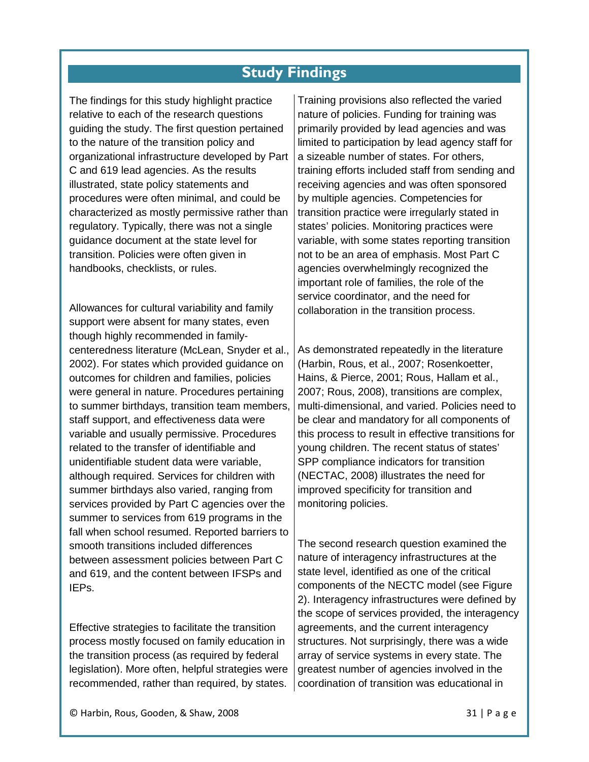# **Study Findings**

The findings for this study highlight practice relative to each of the research questions guiding the study. The first question pertained to the nature of the transition policy and organizational infrastructure developed by Part C and 619 lead agencies. As the results illustrated, state policy statements and procedures were often minimal, and could be characterized as mostly permissive rather than regulatory. Typically, there was not a single guidance document at the state level for transition. Policies were often given in handbooks, checklists, or rules.

Allowances for cultural variability and family support were absent for many states, even though highly recommended in familycenteredness literature (McLean, Snyder et al., 2002). For states which provided guidance on outcomes for children and families, policies were general in nature. Procedures pertaining to summer birthdays, transition team members, staff support, and effectiveness data were variable and usually permissive. Procedures related to the transfer of identifiable and unidentifiable student data were variable, although required. Services for children with summer birthdays also varied, ranging from services provided by Part C agencies over the summer to services from 619 programs in the fall when school resumed. Reported barriers to smooth transitions included differences between assessment policies between Part C and 619, and the content between IFSPs and IEPs.

Effective strategies to facilitate the transition process mostly focused on family education in the transition process (as required by federal legislation). More often, helpful strategies were recommended, rather than required, by states.

Training provisions also reflected the varied nature of policies. Funding for training was primarily provided by lead agencies and was limited to participation by lead agency staff for a sizeable number of states. For others, training efforts included staff from sending and receiving agencies and was often sponsored by multiple agencies. Competencies for transition practice were irregularly stated in states' policies. Monitoring practices were variable, with some states reporting transition not to be an area of emphasis. Most Part C agencies overwhelmingly recognized the important role of families, the role of the service coordinator, and the need for collaboration in the transition process.

As demonstrated repeatedly in the literature (Harbin, Rous, et al., 2007; Rosenkoetter, Hains, & Pierce, 2001; Rous, Hallam et al., 2007; Rous, 2008), transitions are complex, multi-dimensional, and varied. Policies need to be clear and mandatory for all components of this process to result in effective transitions for young children. The recent status of states' SPP compliance indicators for transition (NECTAC, 2008) illustrates the need for improved specificity for transition and monitoring policies.

The second research question examined the nature of interagency infrastructures at the state level, identified as one of the critical components of the NECTC model (see Figure 2). Interagency infrastructures were defined by the scope of services provided, the interagency agreements, and the current interagency structures. Not surprisingly, there was a wide array of service systems in every state. The greatest number of agencies involved in the coordination of transition was educational in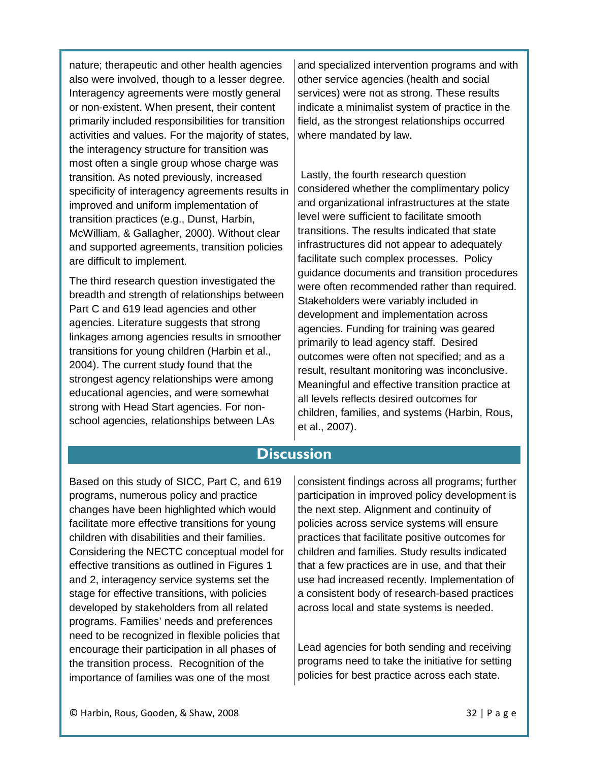nature; therapeutic and other health agencies also were involved, though to a lesser degree. Interagency agreements were mostly general or non-existent. When present, their content primarily included responsibilities for transition activities and values. For the majority of states, the interagency structure for transition was most often a single group whose charge was transition. As noted previously, increased specificity of interagency agreements results in improved and uniform implementation of transition practices (e.g., Dunst, Harbin, McWilliam, & Gallagher, 2000). Without clear and supported agreements, transition policies are difficult to implement.

The third research question investigated the breadth and strength of relationships between Part C and 619 lead agencies and other agencies. Literature suggests that strong linkages among agencies results in smoother transitions for young children (Harbin et al., 2004). The current study found that the strongest agency relationships were among educational agencies, and were somewhat strong with Head Start agencies. For nonschool agencies, relationships between LAs

and specialized intervention programs and with other service agencies (health and social services) were not as strong. These results indicate a minimalist system of practice in the field, as the strongest relationships occurred where mandated by law.

Lastly, the fourth research question considered whether the complimentary policy and organizational infrastructures at the state level were sufficient to facilitate smooth transitions. The results indicated that state infrastructures did not appear to adequately facilitate such complex processes. Policy guidance documents and transition procedures were often recommended rather than required. Stakeholders were variably included in development and implementation across agencies. Funding for training was geared primarily to lead agency staff. Desired outcomes were often not specified; and as a result, resultant monitoring was inconclusive. Meaningful and effective transition practice at all levels reflects desired outcomes for children, families, and systems (Harbin, Rous, et al., 2007).

# **Discussion**

Based on this study of SICC, Part C, and 619 programs, numerous policy and practice changes have been highlighted which would facilitate more effective transitions for young children with disabilities and their families. Considering the NECTC conceptual model for effective transitions as outlined in Figures 1 and 2, interagency service systems set the stage for effective transitions, with policies developed by stakeholders from all related programs. Families' needs and preferences need to be recognized in flexible policies that encourage their participation in all phases of the transition process. Recognition of the importance of families was one of the most

consistent findings across all programs; further participation in improved policy development is the next step. Alignment and continuity of policies across service systems will ensure practices that facilitate positive outcomes for children and families. Study results indicated that a few practices are in use, and that their use had increased recently. Implementation of a consistent body of research-based practices across local and state systems is needed.

Lead agencies for both sending and receiving programs need to take the initiative for setting policies for best practice across each state.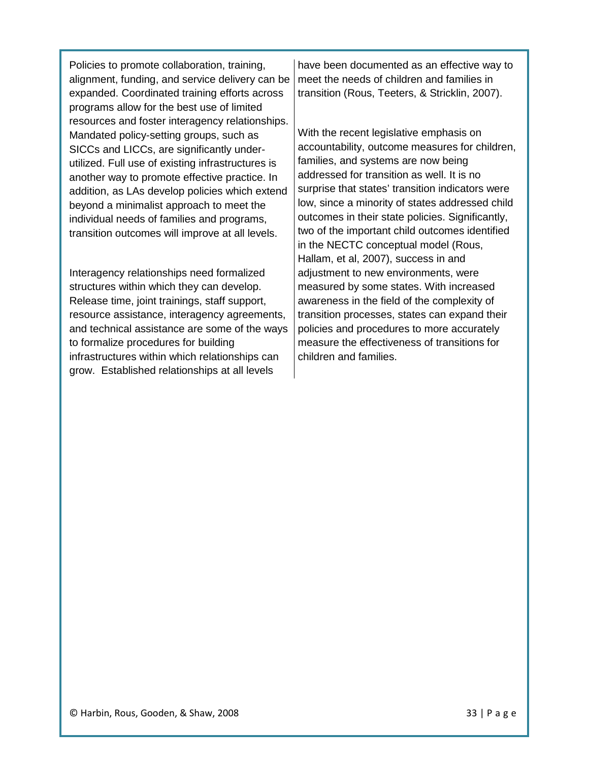Policies to promote collaboration, training, alignment, funding, and service delivery can be expanded. Coordinated training efforts across programs allow for the best use of limited resources and foster interagency relationships. Mandated policy-setting groups, such as SICCs and LICCs, are significantly underutilized. Full use of existing infrastructures is another way to promote effective practice. In addition, as LAs develop policies which extend beyond a minimalist approach to meet the individual needs of families and programs, transition outcomes will improve at all levels.

Interagency relationships need formalized structures within which they can develop. Release time, joint trainings, staff support, resource assistance, interagency agreements, and technical assistance are some of the ways to formalize procedures for building infrastructures within which relationships can grow. Established relationships at all levels

have been documented as an effective way to meet the needs of children and families in transition (Rous, Teeters, & Stricklin, 2007).

With the recent legislative emphasis on accountability, outcome measures for children, families, and systems are now being addressed for transition as well. It is no surprise that states' transition indicators were low, since a minority of states addressed child outcomes in their state policies. Significantly, two of the important child outcomes identified in the NECTC conceptual model (Rous, Hallam, et al, 2007), success in and adjustment to new environments, were measured by some states. With increased awareness in the field of the complexity of transition processes, states can expand their policies and procedures to more accurately measure the effectiveness of transitions for children and families.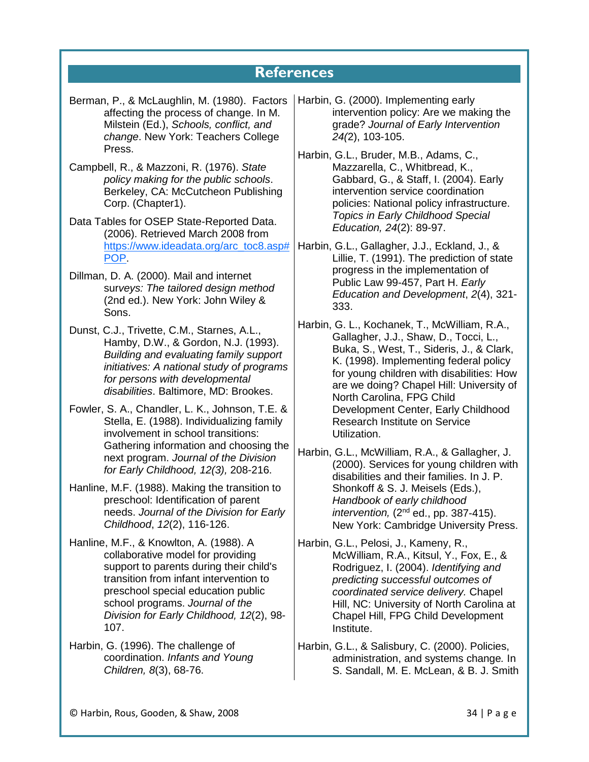# **References**

- Berman, P., & McLaughlin, M. (1980). Factors affecting the process of change. In M. Milstein (Ed.), *Schools, conflict, and change*. New York: Teachers College Press.
- Campbell, R., & Mazzoni, R. (1976). *State policy making for the public schools*. Berkeley, CA: McCutcheon Publishing Corp. (Chapter1).
- Data Tables for OSEP State-Reported Data. (2006). Retrieved March 2008 from [https://www.ideadata.org/arc\\_toc8.asp#](https://www.ideadata.org/arc_toc8.asp#POP) [POP.](https://www.ideadata.org/arc_toc8.asp#POP)
- Dillman, D. A. (2000). Mail and internet sur*veys: The tailored design method* (2nd ed.). New York: John Wiley & Sons.
- Dunst, C.J., Trivette, C.M., Starnes, A.L., Hamby, D.W., & Gordon, N.J. (1993). *Building and evaluating family support initiatives: A national study of programs for persons with developmental disabilities*. Baltimore, MD: Brookes.
- Fowler, S. A., Chandler, L. K., Johnson, T.E. & Stella, E. (1988). Individualizing family involvement in school transitions: Gathering information and choosing the next program. *Journal of the Division for Early Childhood, 12(3),* 208-216.
- Hanline, M.F. (1988). Making the transition to preschool: Identification of parent needs. *Journal of the Division for Early Childhood*, *12*(2), 116-126.
- Hanline, M.F., & Knowlton, A. (1988). A collaborative model for providing support to parents during their child's transition from infant intervention to preschool special education public school programs. *Journal of the Division for Early Childhood, 12*(2), 98- 107.
- Harbin, G. (1996). The challenge of coordination. *Infants and Young Children, 8*(3), 68-76.
- Harbin, G. (2000). Implementing early intervention policy: Are we making the grade? *Journal of Early Intervention 24(*2), 103-105.
- Harbin, G.L., Bruder, M.B., Adams, C., Mazzarella, C., Whitbread, K., Gabbard, G., & Staff, I. (2004). Early intervention service coordination policies: National policy infrastructure. *Topics in Early Childhood Special Education, 24*(2): 89-97.
- Harbin, G.L., Gallagher, J.J., Eckland, J., & Lillie, T. (1991). The prediction of state progress in the implementation of Public Law 99-457, Part H. *Early Education and Development*, *2*(4), 321- 333.
- Harbin, G. L., Kochanek, T., McWilliam, R.A., Gallagher, J.J., Shaw, D., Tocci, L., Buka, S., West, T., Sideris, J., & Clark, K. (1998). Implementing federal policy for young children with disabilities: How are we doing? Chapel Hill: University of North Carolina, FPG Child Development Center, Early Childhood Research Institute on Service Utilization.
- Harbin, G.L., McWilliam, R.A., & Gallagher, J. (2000). Services for young children with disabilities and their families. In J. P. Shonkoff & S. J. Meisels (Eds.), *Handbook of early childhood intervention,* (2nd ed., pp. 387-415). New York: Cambridge University Press.
- Harbin, G.L., Pelosi, J., Kameny, R., McWilliam, R.A., Kitsul, Y., Fox, E., & Rodriguez, I. (2004). *Identifying and predicting successful outcomes of coordinated service delivery.* Chapel Hill, NC: University of North Carolina at Chapel Hill, FPG Child Development Institute.
- Harbin, G.L., & Salisbury, C. (2000). Policies, administration, and systems change*.* In S. Sandall, M. E. McLean, & B. J. Smith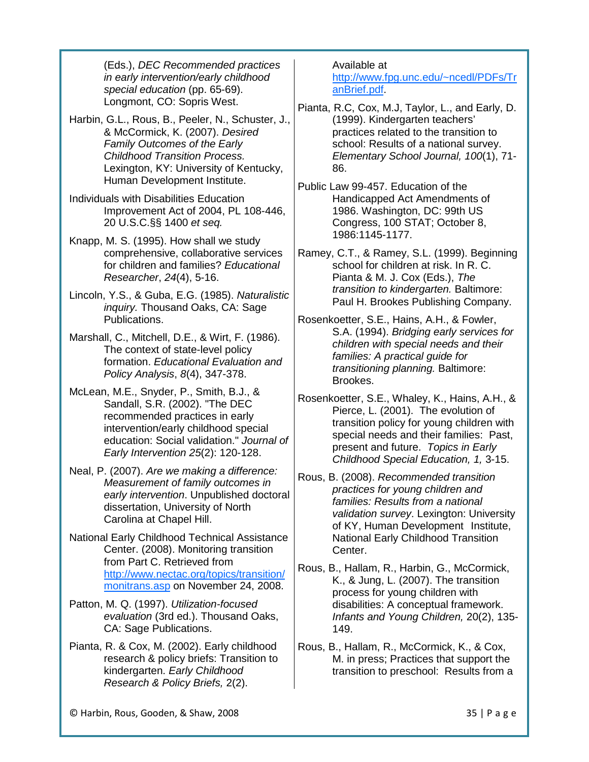(Eds.), *DEC Recommended practices in early intervention/early childhood special education* (pp. 65-69). Longmont, CO: Sopris West.

- Harbin, G.L., Rous, B., Peeler, N., Schuster, J., & McCormick, K. (2007). *Desired Family Outcomes of the Early Childhood Transition Process.* Lexington, KY: University of Kentucky, Human Development Institute.
- Individuals with Disabilities Education Improvement Act of 2004, PL 108-446, 20 U.S.C.§§ 1400 *et seq.*
- Knapp, M. S. (1995). How shall we study comprehensive, collaborative services for children and families? *Educational Researcher*, *24*(4), 5-16.
- Lincoln, Y.S., & Guba, E.G. (1985). *Naturalistic inquiry.* Thousand Oaks, CA: Sage Publications.
- Marshall, C., Mitchell, D.E., & Wirt, F. (1986). The context of state-level policy formation. *Educational Evaluation and Policy Analysis*, *8*(4), 347-378.
- McLean, M.E., Snyder, P., Smith, B.J., & Sandall, S.R. (2002). "The DEC recommended practices in early intervention/early childhood special education: Social validation." *Journal of Early Intervention 25*(2): 120-128.
- Neal, P. (2007). *Are we making a difference: Measurement of family outcomes in early intervention*. Unpublished doctoral dissertation, University of North Carolina at Chapel Hill.
- National Early Childhood Technical Assistance Center. (2008). Monitoring transition from Part C. Retrieved from [http://www.nectac.org/topics/transition/](http://www.nectac.org/topics/transition/monitrans.asp) [monitrans.asp](http://www.nectac.org/topics/transition/monitrans.asp) on November 24, 2008.
- Patton, M. Q. (1997). *Utilization-focused evaluation* (3rd ed.). Thousand Oaks, CA: Sage Publications.
- Pianta, R. & Cox, M. (2002). Early childhood research & policy briefs: Transition to kindergarten. *Early Childhood Research & Policy Briefs,* 2(2).

Available at

[http://www.fpg.unc.edu/~ncedl/PDFs/Tr](http://www.fpg.unc.edu/%7Encedl/PDFs/TranBrief.pdf) [anBrief.pdf.](http://www.fpg.unc.edu/%7Encedl/PDFs/TranBrief.pdf)

- Pianta, R.C, Cox, M.J, Taylor, L., and Early, D. (1999). Kindergarten teachers' practices related to the transition to school: Results of a national survey. *Elementary School Journal, 100*(1), 71- 86.
- Public Law 99-457. Education of the Handicapped Act Amendments of 1986. Washington, DC: 99th US Congress, 100 STAT; October 8, 1986:1145-1177.
- Ramey, C.T., & Ramey, S.L. (1999). Beginning school for children at risk. In R. C. Pianta & M. J. Cox (Eds.), *The transition to kindergarten.* Baltimore: Paul H. Brookes Publishing Company.
- Rosenkoetter, S.E., Hains, A.H., & Fowler, S.A. (1994). *Bridging early services for children with special needs and their families: A practical guide for transitioning planning.* Baltimore: Brookes.
- Rosenkoetter, S.E., Whaley, K., Hains, A.H., & Pierce, L. (2001). The evolution of transition policy for young children with special needs and their families: Past, present and future. *Topics in Early Childhood Special Education, 1,* 3-15.
- Rous, B. (2008). *Recommended transition practices for young children and families: Results from a national validation survey*. Lexington: University of KY, Human Development Institute, National Early Childhood Transition Center.
- Rous, B., Hallam, R., Harbin, G., McCormick, K., & Jung, L. (2007). The transition process for young children with disabilities: A conceptual framework. *Infants and Young Children,* 20(2), 135- 149.
- Rous, B., Hallam, R., McCormick, K., & Cox, M. in press; Practices that support the transition to preschool: Results from a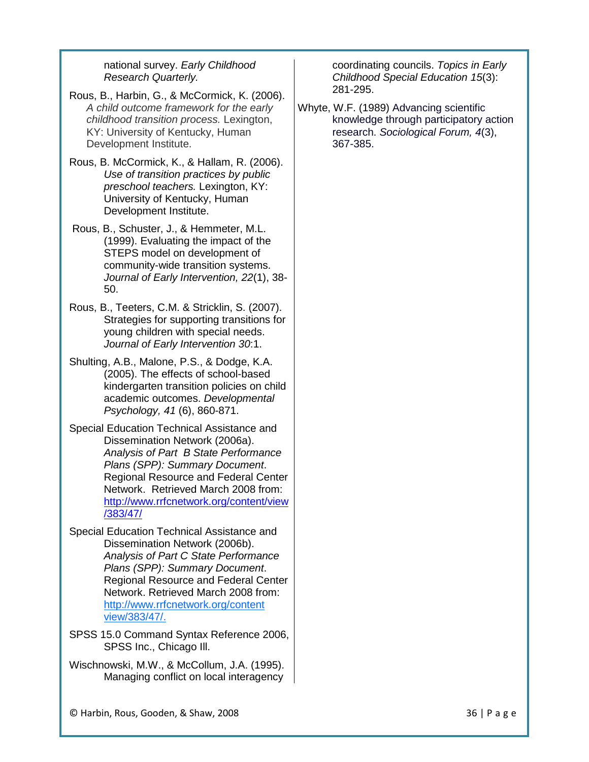national survey. *Early Childhood Research Quarterly.*

- Rous, B., Harbin, G., & McCormick, K. (2006). *A child outcome framework for the early childhood transition process.* Lexington, KY: University of Kentucky, Human Development Institute.
- Rous, B. McCormick, K., & Hallam, R. (2006). *Use of transition practices by public preschool teachers.* Lexington, KY: University of Kentucky, Human Development Institute.
- Rous, B., Schuster, J., & Hemmeter, M.L. (1999). Evaluating the impact of the STEPS model on development of community-wide transition systems. *Journal of Early Intervention, 22*(1), 38- 50.
- Rous, B., Teeters, C.M. & Stricklin, S. (2007). Strategies for supporting transitions for young children with special needs. *Journal of Early Intervention 30*:1.
- Shulting, A.B., Malone, P.S., & Dodge, K.A. (2005). The effects of school-based kindergarten transition policies on child academic outcomes. *Developmental Psychology, 41* (6), 860-871.
- Special Education Technical Assistance and Dissemination Network (2006a). *Analysis of Part B State Performance Plans (SPP): Summary Document*. Regional Resource and Federal Center Network. Retrieved March 2008 from: [http://www.rrfcnetwork.org/content/view](http://www.rrfcnetwork.org/content/view/383/47/) [/383/47/](http://www.rrfcnetwork.org/content/view/383/47/)
- Special Education Technical Assistance and Dissemination Network (2006b). *Analysis of Part C State Performance Plans (SPP): Summary Document*. Regional Resource and Federal Center Network. Retrieved March 2008 from: [http://www.rrfcnetwork.org/content](http://www.rrfcnetwork.org/content%20%20%20%20%20%20%20%20view/383/47/)  [view/383/47/.](http://www.rrfcnetwork.org/content%20%20%20%20%20%20%20%20view/383/47/)
- SPSS 15.0 Command Syntax Reference 2006, SPSS Inc., Chicago Ill.
- Wischnowski, M.W., & McCollum, J.A. (1995). Managing conflict on local interagency

coordinating councils. *Topics in Early Childhood Special Education 15*(3): 281-295.

Whyte, W.F. (1989) Advancing scientific knowledge through participatory action research. *Sociological Forum, 4*(3), 367-385.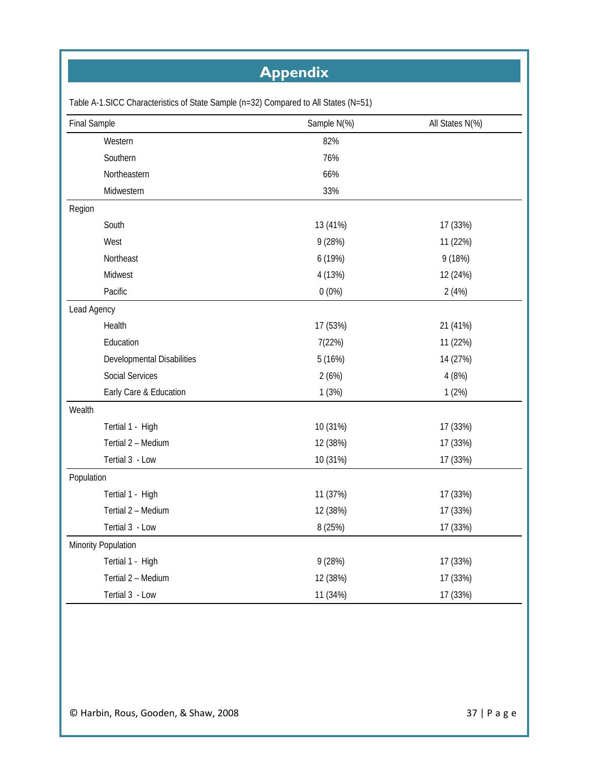# **Appendix**

| <b>Final Sample</b>        | Sample N(%) | All States N(%) |
|----------------------------|-------------|-----------------|
| Western                    | 82%         |                 |
| Southern                   | 76%         |                 |
| Northeastern               | 66%         |                 |
| Midwestern                 | 33%         |                 |
| Region                     |             |                 |
| South                      | 13 (41%)    | 17 (33%)        |
| West                       | 9 (28%)     | 11 (22%)        |
| Northeast                  | 6 (19%)     | 9 (18%)         |
| Midwest                    | 4 (13%)     | 12 (24%)        |
| Pacific                    | $0(0\%)$    | 2(4%)           |
| Lead Agency                |             |                 |
| Health                     | 17 (53%)    | 21 (41%)        |
| Education                  | 7(22%)      | 11 (22%)        |
| Developmental Disabilities | 5 (16%)     | 14 (27%)        |
| <b>Social Services</b>     | 2(6%)       | 4 (8%)          |
| Early Care & Education     | 1(3%)       | 1(2%)           |
| Wealth                     |             |                 |
| Tertial 1 - High           | 10 (31%)    | 17 (33%)        |
| Tertial 2 - Medium         | 12 (38%)    | 17 (33%)        |
| Tertial 3 - Low            | 10 (31%)    | 17 (33%)        |
| Population                 |             |                 |
| Tertial 1 - High           | 11 (37%)    | 17 (33%)        |
| Tertial 2 - Medium         | 12 (38%)    | 17 (33%)        |
| Tertial 3 - Low            | 8 (25%)     | 17 (33%)        |
| Minority Population        |             |                 |
| Tertial 1 - High           | 9(28%)      | 17 (33%)        |
| Tertial 2 - Medium         | 12 (38%)    | 17 (33%)        |
| Tertial 3 - Low            | 11 (34%)    | 17 (33%)        |

Table A-1.SICC Characteristics of State Sample (n=32) Compared to All States (N=51)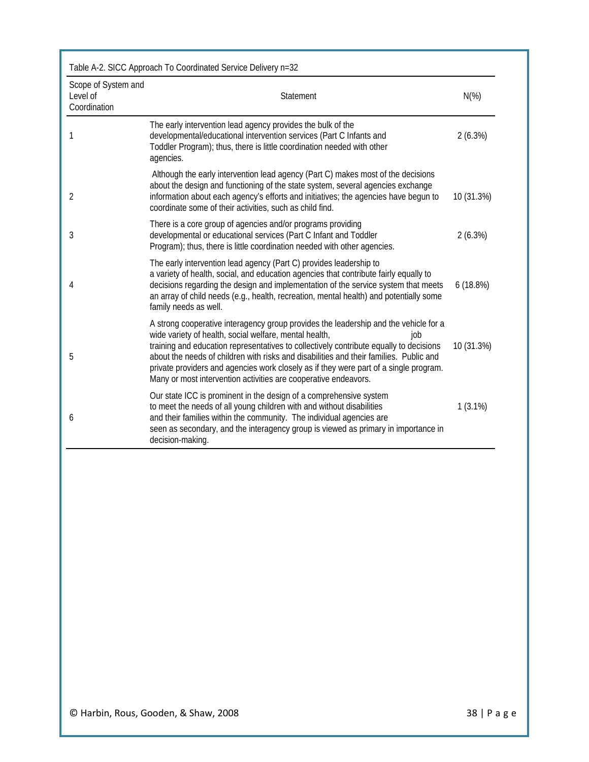|                                                 | Table A-2. SICC Approach To Coordinated Service Delivery n=32                                                                                                                                                                                                                                                                                                                                                                                                                                         |            |
|-------------------------------------------------|-------------------------------------------------------------------------------------------------------------------------------------------------------------------------------------------------------------------------------------------------------------------------------------------------------------------------------------------------------------------------------------------------------------------------------------------------------------------------------------------------------|------------|
| Scope of System and<br>Level of<br>Coordination | Statement                                                                                                                                                                                                                                                                                                                                                                                                                                                                                             | $N(\%)$    |
| 1                                               | The early intervention lead agency provides the bulk of the<br>developmental/educational intervention services (Part C Infants and<br>Toddler Program); thus, there is little coordination needed with other<br>agencies.                                                                                                                                                                                                                                                                             | 2(6.3%)    |
| $\overline{2}$                                  | Although the early intervention lead agency (Part C) makes most of the decisions<br>about the design and functioning of the state system, several agencies exchange<br>information about each agency's efforts and initiatives; the agencies have begun to<br>coordinate some of their activities, such as child find.                                                                                                                                                                                | 10 (31.3%) |
| 3                                               | There is a core group of agencies and/or programs providing<br>developmental or educational services (Part C Infant and Toddler<br>Program); thus, there is little coordination needed with other agencies.                                                                                                                                                                                                                                                                                           | 2(6.3%)    |
| 4                                               | The early intervention lead agency (Part C) provides leadership to<br>a variety of health, social, and education agencies that contribute fairly equally to<br>decisions regarding the design and implementation of the service system that meets<br>an array of child needs (e.g., health, recreation, mental health) and potentially some<br>family needs as well.                                                                                                                                  | 6(18.8%)   |
| 5                                               | A strong cooperative interagency group provides the leadership and the vehicle for a<br>wide variety of health, social welfare, mental health,<br>job<br>training and education representatives to collectively contribute equally to decisions<br>about the needs of children with risks and disabilities and their families. Public and<br>private providers and agencies work closely as if they were part of a single program.<br>Many or most intervention activities are cooperative endeavors. | 10 (31.3%) |
| 6                                               | Our state ICC is prominent in the design of a comprehensive system<br>to meet the needs of all young children with and without disabilities<br>and their families within the community. The individual agencies are<br>seen as secondary, and the interagency group is viewed as primary in importance in<br>decision-making.                                                                                                                                                                         | $1(3.1\%)$ |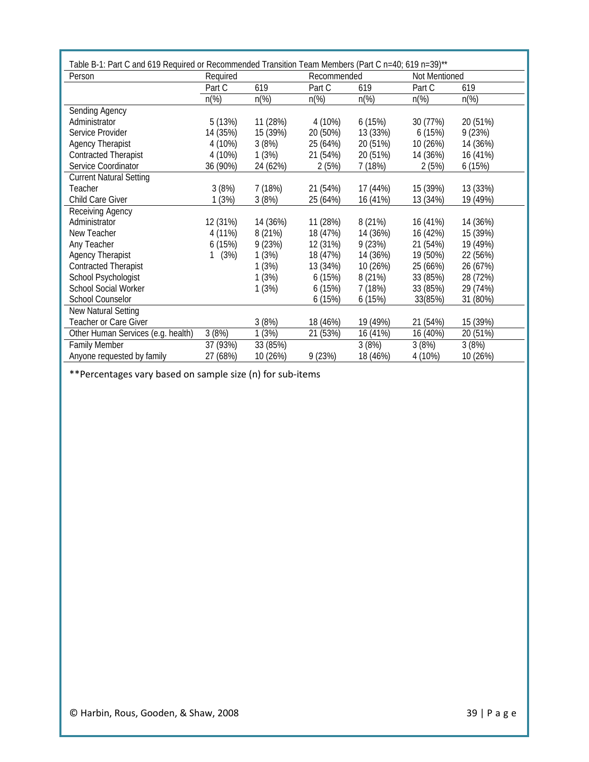| Person                             | Required       |                | Recommended    |                | Not Mentioned  |                |
|------------------------------------|----------------|----------------|----------------|----------------|----------------|----------------|
|                                    | Part C         | 619            | Part C         | 619            | Part C         | 619            |
|                                    | $n\frac{9}{6}$ | $n\frac{9}{6}$ | $n\frac{9}{6}$ | $n\frac{9}{6}$ | $n\frac{9}{6}$ | $n\frac{9}{6}$ |
| Sending Agency                     |                |                |                |                |                |                |
| Administrator                      | 5 (13%)        | 11 (28%)       | 4 (10%)        | 6(15%)         | 30 (77%)       | 20 (51%)       |
| Service Provider                   | 14 (35%)       | 15 (39%)       | 20 (50%)       | 13 (33%)       | 6(15%)         | 9(23%)         |
| <b>Agency Therapist</b>            | 4 (10%)        | 3(8%)          | 25 (64%)       | 20 (51%)       | 10 (26%)       | 14 (36%)       |
| <b>Contracted Therapist</b>        | 4 (10%)        | 1(3%)          | 21 (54%)       | 20 (51%)       | 14 (36%)       | 16 (41%)       |
| Service Coordinator                | 36 (90%)       | 24 (62%)       | 2(5%)          | 7 (18%)        | 2(5%)          | 6(15%)         |
| <b>Current Natural Setting</b>     |                |                |                |                |                |                |
| Teacher                            | 3(8%)          | 7 (18%)        | 21 (54%)       | 17 (44%)       | 15 (39%)       | 13 (33%)       |
| Child Care Giver                   | 1(3%)          | 3(8%)          | 25 (64%)       | 16 (41%)       | 13 (34%)       | 19 (49%)       |
| Receiving Agency                   |                |                |                |                |                |                |
| Administrator                      | 12 (31%)       | 14 (36%)       | 11 (28%)       | 8 (21%)        | 16 (41%)       | 14 (36%)       |
| New Teacher                        | 4 (11%)        | 8 (21%)        | 18 (47%)       | 14 (36%)       | 16 (42%)       | 15 (39%)       |
| Any Teacher                        | 6(15%)         | 9(23%)         | 12 (31%)       | 9(23%)         | 21 (54%)       | 19 (49%)       |
| <b>Agency Therapist</b>            | (3%)           | 1(3%)          | 18 (47%)       | 14 (36%)       | 19 (50%)       | 22 (56%)       |
| <b>Contracted Therapist</b>        |                | 1(3%)          | 13 (34%)       | 10 (26%)       | 25 (66%)       | 26 (67%)       |
| School Psychologist                |                | 1(3%)          | 6(15%)         | 8 (21%)        | 33 (85%)       | 28 (72%)       |
| <b>School Social Worker</b>        |                | 1(3%)          | 6(15%)         | 7(18%)         | 33 (85%)       | 29 (74%)       |
| School Counselor                   |                |                | 6(15%)         | 6(15%)         | 33(85%)        | 31 (80%)       |
| New Natural Setting                |                |                |                |                |                |                |
| Teacher or Care Giver              |                | 3(8%)          | 18 (46%)       | 19 (49%)       | 21 (54%)       | 15 (39%)       |
| Other Human Services (e.g. health) | 3(8%)          | 1(3%)          | 21 (53%)       | 16 (41%)       | 16 (40%)       | 20 (51%)       |
| <b>Family Member</b>               | 37 (93%)       | 33 (85%)       |                | 3(8%)          | 3(8%)          | 3(8%)          |
| Anyone requested by family         | 27 (68%)       | 10 (26%)       | 9(23%)         | 18 (46%)       | 4 (10%)        | 10 (26%)       |

\*\*Percentages vary based on sample size (n) for sub-items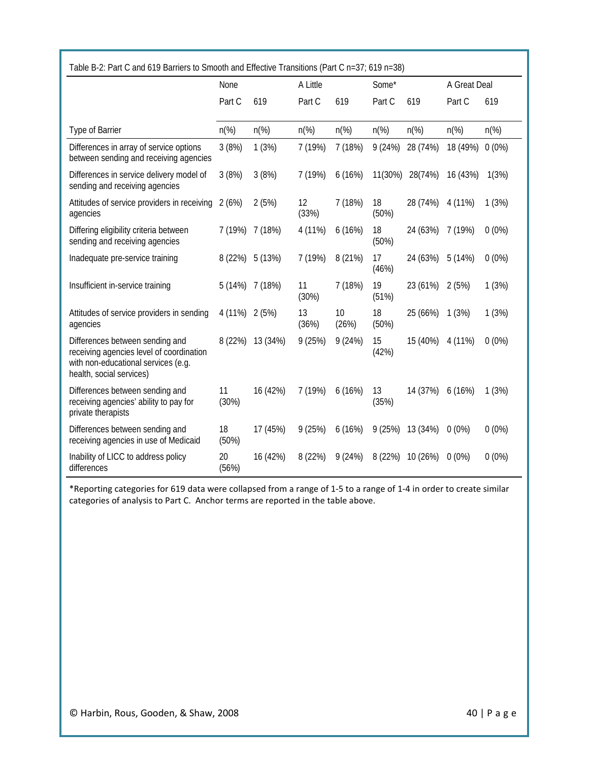| Table B-2: Part C and 619 Barriers to Smooth and Effective Transitions (Part C n=37; 619 n=38)                                                 |                |                |                  |                |                |                |                |                |
|------------------------------------------------------------------------------------------------------------------------------------------------|----------------|----------------|------------------|----------------|----------------|----------------|----------------|----------------|
|                                                                                                                                                | None           |                | A Little         |                | Some*          |                | A Great Deal   |                |
|                                                                                                                                                | Part C         | 619            | Part C           | 619            | Part C         | 619            | Part C         | 619            |
| Type of Barrier                                                                                                                                | $n\frac{9}{6}$ | $n\frac{9}{6}$ | $n\frac{\%}{\%}$ | $n\frac{9}{6}$ | $n\frac{9}{6}$ | $n\frac{9}{6}$ | $n\frac{9}{6}$ | $n\frac{9}{6}$ |
| Differences in array of service options<br>between sending and receiving agencies                                                              | 3(8%)          | 1(3%)          | 7 (19%)          | 7 (18%)        | 9(24%)         | 28 (74%)       | 18 (49%)       | $0(0\%)$       |
| Differences in service delivery model of<br>sending and receiving agencies                                                                     | 3(8%)          | 3(8%)          | 7 (19%)          | 6(16%)         | 11(30%)        | 28(74%)        | 16 (43%)       | 1(3%)          |
| Attitudes of service providers in receiving<br>agencies                                                                                        | 2(6%)          | 2(5%)          | 12<br>(33%)      | 7 (18%)        | 18<br>(50%)    | 28 (74%)       | 4 (11%)        | 1(3%)          |
| Differing eligibility criteria between<br>sending and receiving agencies                                                                       | 7 (19%)        | 7 (18%)        | 4 (11%)          | 6(16%)         | 18<br>(50%)    | 24 (63%)       | 7 (19%)        | $0(0\%)$       |
| Inadequate pre-service training                                                                                                                | 8 (22%)        | 5 (13%)        | 7 (19%)          | 8 (21%)        | 17<br>(46%)    | 24 (63%)       | 5 (14%)        | $0(0\%)$       |
| Insufficient in-service training                                                                                                               | 5 (14%)        | 7 (18%)        | 11<br>(30%)      | 7 (18%)        | 19<br>(51%)    | 23 (61%)       | 2(5%)          | 1(3%)          |
| Attitudes of service providers in sending<br>agencies                                                                                          | 4 (11%)        | 2(5%)          | 13<br>(36%)      | 10<br>(26%)    | 18<br>(50%)    | 25 (66%)       | 1(3%)          | 1(3%)          |
| Differences between sending and<br>receiving agencies level of coordination<br>with non-educational services (e.g.<br>health, social services) | 8 (22%)        | 13 (34%)       | 9(25%)           | 9(24%)         | 15<br>(42%)    | 15 (40%)       | 4 (11%)        | $0(0\%)$       |
| Differences between sending and<br>receiving agencies' ability to pay for<br>private therapists                                                | 11<br>(30%)    | 16 (42%)       | 7 (19%)          | 6(16%)         | 13<br>(35%)    | 14 (37%)       | 6(16%)         | 1(3%)          |
| Differences between sending and<br>receiving agencies in use of Medicaid                                                                       | 18<br>(50%)    | 17 (45%)       | 9(25%)           | 6(16%)         | 9(25%)         | 13 (34%)       | $0(0\%)$       | $0(0\%)$       |
| Inability of LICC to address policy<br>differences                                                                                             | 20<br>(56%)    | 16 (42%)       | 8 (22%)          | 9(24%)         | 8 (22%)        | 10 (26%)       | $0(0\%)$       | $0(0\%)$       |

\*Reporting categories for 619 data were collapsed from a range of 1-5 to a range of 1-4 in order to create similar categories of analysis to Part C. Anchor terms are reported in the table above.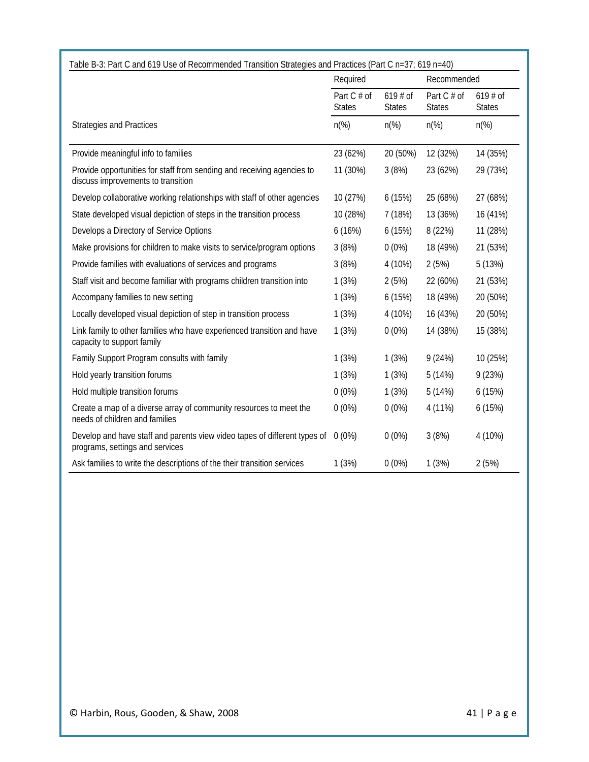|                                                                                                              | Required                     |                            | Recommended                  |                            |
|--------------------------------------------------------------------------------------------------------------|------------------------------|----------------------------|------------------------------|----------------------------|
|                                                                                                              | Part C # of<br><b>States</b> | $619#$ of<br><b>States</b> | Part C # of<br><b>States</b> | $619#$ of<br><b>States</b> |
| <b>Strategies and Practices</b>                                                                              | $n\frac{\%}{\%}$             | $n\frac{9}{6}$             | $n\frac{9}{6}$               | $n\frac{9}{6}$             |
| Provide meaningful info to families                                                                          | 23 (62%)                     | 20 (50%)                   | 12 (32%)                     | 14 (35%)                   |
| Provide opportunities for staff from sending and receiving agencies to<br>discuss improvements to transition | 11 (30%)                     | 3(8%)                      | 23 (62%)                     | 29 (73%)                   |
| Develop collaborative working relationships with staff of other agencies                                     | 10 (27%)                     | 6(15%)                     | 25 (68%)                     | 27 (68%)                   |
| State developed visual depiction of steps in the transition process                                          | 10 (28%)                     | 7(18%)                     | 13 (36%)                     | 16 (41%)                   |
| Develops a Directory of Service Options                                                                      | 6(16%)                       | 6(15%)                     | 8 (22%)                      | 11 (28%)                   |
| Make provisions for children to make visits to service/program options                                       | 3(8%)                        | $0(0\%)$                   | 18 (49%)                     | 21 (53%)                   |
| Provide families with evaluations of services and programs                                                   | 3(8%)                        | 4 (10%)                    | 2(5%)                        | 5(13%)                     |
| Staff visit and become familiar with programs children transition into                                       | 1(3%)                        | 2(5%)                      | 22 (60%)                     | 21 (53%)                   |
| Accompany families to new setting                                                                            | 1(3%)                        | 6(15%)                     | 18 (49%)                     | 20 (50%)                   |
| Locally developed visual depiction of step in transition process                                             | 1(3%)                        | 4 (10%)                    | 16 (43%)                     | 20 (50%)                   |
| Link family to other families who have experienced transition and have<br>capacity to support family         | 1(3%)                        | $0(0\%)$                   | 14 (38%)                     | 15 (38%)                   |
| Family Support Program consults with family                                                                  | 1(3%)                        | 1(3%)                      | 9(24%)                       | 10 (25%)                   |
| Hold yearly transition forums                                                                                | 1(3%)                        | 1(3%)                      | 5(14%)                       | 9(23%)                     |
| Hold multiple transition forums                                                                              | $0(0\%)$                     | 1(3%)                      | 5(14%)                       | 6(15%)                     |
| Create a map of a diverse array of community resources to meet the<br>needs of children and families         | $0(0\%)$                     | $0(0\%)$                   | 4 (11%)                      | 6(15%)                     |
| Develop and have staff and parents view video tapes of different types of<br>programs, settings and services | $0(0\%)$                     | $0(0\%)$                   | 3(8%)                        | 4 (10%)                    |
| Ask families to write the descriptions of the their transition services                                      | 1(3%)                        | $0(0\%)$                   | 1(3%)                        | 2(5%)                      |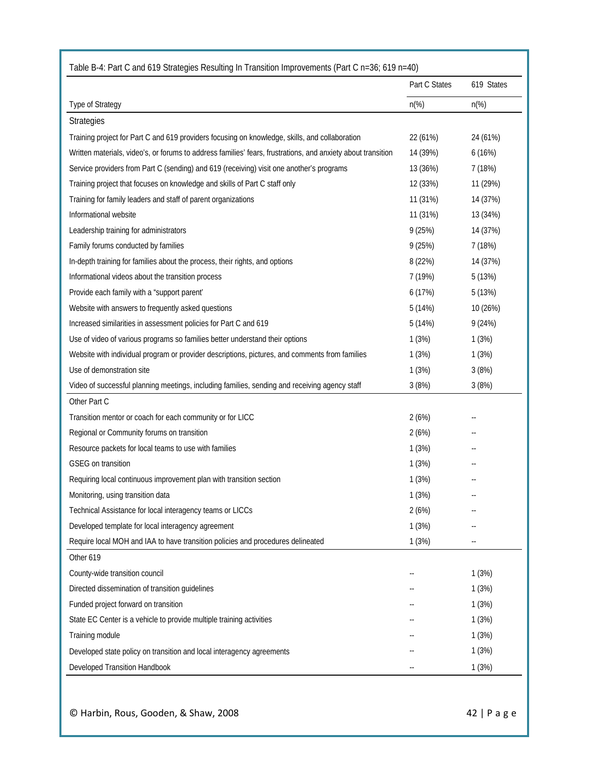| Table B-4: Part C and 619 Strategies Resulting In Transition Improvements (Part C n=36; 619 n=40)            |                |                |
|--------------------------------------------------------------------------------------------------------------|----------------|----------------|
|                                                                                                              | Part C States  | 619 States     |
| Type of Strategy                                                                                             | $n\frac{6}{6}$ | $n\frac{9}{6}$ |
| <b>Strategies</b>                                                                                            |                |                |
| Training project for Part C and 619 providers focusing on knowledge, skills, and collaboration               | 22 (61%)       | 24 (61%)       |
| Written materials, video's, or forums to address families' fears, frustrations, and anxiety about transition | 14 (39%)       | 6(16%)         |
| Service providers from Part C (sending) and 619 (receiving) visit one another's programs                     | 13 (36%)       | 7 (18%)        |
| Training project that focuses on knowledge and skills of Part C staff only                                   | 12 (33%)       | 11 (29%)       |
| Training for family leaders and staff of parent organizations                                                | 11 (31%)       | 14 (37%)       |
| Informational website                                                                                        | 11 (31%)       | 13 (34%)       |
| Leadership training for administrators                                                                       | 9(25%)         | 14 (37%)       |
| Family forums conducted by families                                                                          | 9(25%)         | 7 (18%)        |
| In-depth training for families about the process, their rights, and options                                  | 8 (22%)        | 14 (37%)       |
| Informational videos about the transition process                                                            | 7 (19%)        | 5(13%)         |
| Provide each family with a "support parent"                                                                  | 6(17%)         | 5(13%)         |
| Website with answers to frequently asked questions                                                           | 5(14%)         | 10 (26%)       |
| Increased similarities in assessment policies for Part C and 619                                             | 5(14%)         | 9(24%)         |
| Use of video of various programs so families better understand their options                                 | 1(3%)          | 1(3%)          |
| Website with individual program or provider descriptions, pictures, and comments from families               | 1(3%)          | 1(3%)          |
| Use of demonstration site                                                                                    | 1(3%)          | 3(8%)          |
| Video of successful planning meetings, including families, sending and receiving agency staff                | 3(8%)          | 3(8%)          |
| Other Part C                                                                                                 |                |                |
| Transition mentor or coach for each community or for LICC                                                    | 2(6%)          |                |
| Regional or Community forums on transition                                                                   | 2(6%)          |                |
| Resource packets for local teams to use with families                                                        | 1(3%)          |                |
| <b>GSEG</b> on transition                                                                                    | 1(3%)          |                |
| Requiring local continuous improvement plan with transition section                                          | 1(3%)          |                |
| Monitoring, using transition data                                                                            | 1(3%)          |                |
| Technical Assistance for local interagency teams or LICCs                                                    | 2(6%)          |                |
| Developed template for local interagency agreement                                                           | 1(3%)          |                |
| Require local MOH and IAA to have transition policies and procedures delineated                              | 1(3%)          |                |
| Other 619                                                                                                    |                |                |
| County-wide transition council                                                                               |                | 1(3%)          |
| Directed dissemination of transition guidelines                                                              |                | 1(3%)          |
| Funded project forward on transition                                                                         |                | 1(3%)          |
| State EC Center is a vehicle to provide multiple training activities                                         |                | 1(3%)          |
| Training module                                                                                              |                | 1(3%)          |
| Developed state policy on transition and local interagency agreements                                        |                | 1(3%)          |
| Developed Transition Handbook                                                                                |                | 1(3%)          |

© Harbin, Rous, Gooden, & Shaw, 2008 42 | Page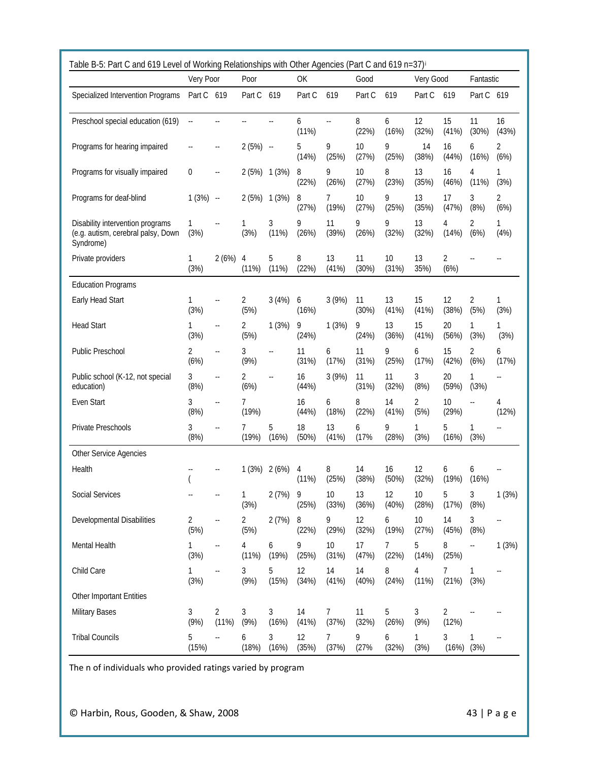|                                                                                     | Very Poor<br>Poor        |                          |                        | OK         | Good        |                 |             |             | Very Good<br>Fantastic |             |                          |                            |
|-------------------------------------------------------------------------------------|--------------------------|--------------------------|------------------------|------------|-------------|-----------------|-------------|-------------|------------------------|-------------|--------------------------|----------------------------|
| Specialized Intervention Programs                                                   | Part C 619               |                          | Part C 619             |            | Part C      | 619             | Part C      | 619         | Part C                 | 619         | Part C 619               |                            |
| Preschool special education (619)                                                   | $\ddotsc$                |                          |                        | ш,         | 6<br>(11%)  | $\mathcal{L}$ . | 8<br>(22%)  | 6<br>(16%)  | 12<br>(32%)            | 15<br>(41%) | 11<br>(30%)              | 16<br>(43%)                |
| Programs for hearing impaired                                                       | $\overline{\phantom{a}}$ |                          | 2(5%)                  | $\sim$     | 5<br>(14%)  | 9<br>(25%)      | 10<br>(27%) | 9<br>(25%)  | 14<br>(38%)            | 16<br>(44%) | 6<br>(16%)               | 2<br>(6%)                  |
| Programs for visually impaired                                                      | 0                        | ÷.                       | 2(5%)                  | 1(3%)      | 8<br>(22%)  | 9<br>(26%)      | 10<br>(27%) | 8<br>(23%)  | 13<br>(35%)            | 16<br>(46%) | 4<br>(11%)               | 1<br>(3%)                  |
| Programs for deaf-blind                                                             | 1(3%)                    | $\ddotsc$                | 2(5%)                  | 1(3%)      | 8<br>(27%)  | 7<br>(19%)      | 10<br>(27%) | 9<br>(25%)  | 13<br>(35%)            | 17<br>(47%) | 3<br>(8%)                | 2<br>(6%)                  |
| Disability intervention programs<br>(e.g. autism, cerebral palsy, Down<br>Syndrome) | 1<br>(3%)                | $\overline{a}$           | 1<br>(3%)              | 3<br>(11%) | 9<br>(26%)  | 11<br>(39%)     | 9<br>(26%)  | 9<br>(32%)  | 13<br>(32%)            | 4<br>(14%)  | $\overline{2}$<br>(6%)   | 1<br>(4% )                 |
| Private providers                                                                   | 1<br>(3%)                | 2(6%)                    | 4<br>(11%)             | 5<br>(11%) | 8<br>(22%)  | 13<br>(41%)     | 11<br>(30%) | 10<br>(31%) | 13<br>35%)             | 2<br>(6%)   |                          |                            |
| <b>Education Programs</b>                                                           |                          |                          |                        |            |             |                 |             |             |                        |             |                          |                            |
| Early Head Start                                                                    | 1<br>(3%)                | $\overline{a}$           | 2<br>(5%)              | 3(4%)      | 6<br>(16%)  | 3(9%)           | 11<br>(30%) | 13<br>(41%) | 15<br>(41%)            | 12<br>(38%) | 2<br>(5%)                | 1<br>(3%)                  |
| <b>Head Start</b>                                                                   | 1<br>(3%)                | $\overline{a}$           | $\overline{2}$<br>(5%) | 1(3%)      | 9<br>(24%)  | 1(3%)           | 9<br>(24%)  | 13<br>(36%) | 15<br>(41%)            | 20<br>(56%) | 1<br>(3%)                | 1<br>(3%)                  |
| Public Preschool                                                                    | 2<br>(6%)                | $\overline{a}$           | 3<br>(9% )             | Ξ.         | 11<br>(31%) | 6<br>(17%)      | 11<br>(31%) | 9<br>(25%)  | 6<br>(17%)             | 15<br>(42%) | 2<br>(6%)                | 6<br>(17%)                 |
| Public school (K-12, not special<br>education)                                      | 3<br>(8%)                | $\overline{a}$           | 2<br>(6%)              | Ξ.         | 16<br>(44%) | 3(9%)           | 11<br>(31%) | 11<br>(32%) | 3<br>(8%)              | 20<br>(59%) | 1<br>(13%)               | $\overline{\phantom{a}}$ . |
| Even Start                                                                          | 3<br>(8%)                | $\overline{a}$           | 7<br>(19%)             |            | 16<br>(44%) | 6<br>(18%)      | 8<br>(22%)  | 14<br>(41%) | 2<br>(5%)              | 10<br>(29%) | $\overline{\phantom{a}}$ | 4<br>(12%)                 |
| Private Preschools                                                                  | 3<br>(8%)                | $\sim$                   | 7<br>(19%)             | 5<br>(16%) | 18<br>(50%) | 13<br>(41%)     | 6<br>(17%   | 9<br>(28%)  | 1<br>(3%)              | 5<br>(16%)  | 1<br>(3%)                | ٠.                         |
| Other Service Agencies                                                              |                          |                          |                        |            |             |                 |             |             |                        |             |                          |                            |
| Health                                                                              |                          |                          | 1(3%)                  | 2(6%)      | 4<br>(11%)  | 8<br>(25%)      | 14<br>(38%) | 16<br>(50%) | 12<br>(32%)            | 6<br>(19%)  | 6<br>(16%)               |                            |
| Social Services                                                                     |                          |                          | 1<br>(3%)              | 2(7%)      | 9<br>(25%)  | 10<br>(33%)     | 13<br>(36%) | 12<br>(40%) | 10<br>(28%)            | 5<br>(17%)  | 3<br>(8%)                | 1(3%)                      |
| Developmental Disabilities                                                          | 2<br>(5%)                | $\overline{\phantom{a}}$ | 2<br>(5%)              | 2(7%)      | 8<br>(22%)  | 9<br>(29%)      | 12<br>(32%) | 6<br>(19%)  | 10<br>(27%)            | 14<br>(45%) | 3<br>(8%)                | 44                         |
| Mental Health                                                                       | 1<br>(3%)                | ٠.                       | 4<br>(11%)             | 6<br>(19%) | 9<br>(25%)  | 10<br>(31%)     | 17<br>(47%) | 7<br>(22%)  | 5<br>(14%)             | 8<br>(25%)  | --                       | 1(3%)                      |
| Child Care                                                                          | 1<br>(3%)                | --                       | 3<br>(9% )             | 5<br>(15%) | 12<br>(34%) | 14<br>(41%)     | 14<br>(40%) | 8<br>(24%)  | 4<br>(11%)             | 7<br>(21%)  | 1<br>(3%)                | ٠.                         |
| Other Important Entities                                                            |                          |                          |                        |            |             |                 |             |             |                        |             |                          |                            |
| <b>Military Bases</b>                                                               | 3<br>(9% )               | 2<br>(11%)               | 3<br>(9% )             | 3<br>(16%) | 14<br>(41%) | 7<br>(37%)      | 11<br>(32%) | 5<br>(26%)  | 3<br>(9% )             | 2<br>(12%)  |                          |                            |
| <b>Tribal Councils</b>                                                              | 5<br>(15%)               |                          | 6<br>(18%)             | 3<br>(16%) | 12<br>(35%) | 7<br>(37%)      | 9<br>(27%   | 6<br>(32%)  | 1<br>(3%)              | 3<br>(16%)  | 1<br>(3%)                | ٠.                         |

The n of individuals who provided ratings varied by program

© Harbin, Rous, Gooden, & Shaw, 2008 43 | Page